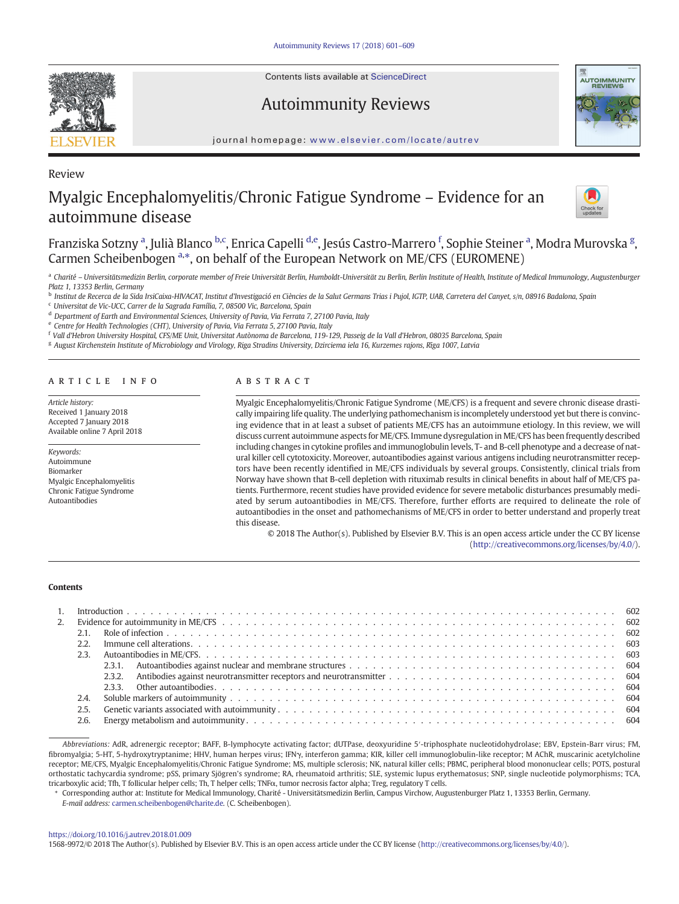Contents lists available at ScienceDirect

Review

Autoimmunity Reviews



#### journal homepage: <www.elsevier.com/locate/autrev>

# Myalgic Encephalomyelitis/Chronic Fatigue Syndrome – Evidence for an autoimmune disease



# Franziska Sotzny <sup>a</sup>, Julià Blanco <sup>b,c</sup>, Enrica Capelli <sup>d,e</sup>, Jesús Castro-Marrero <sup>f</sup>, Sophie Steiner <sup>a</sup>, Modra Murovska <sup>g</sup>, Carmen Scheibenbogen<sup>a,\*</sup>, on behalf of the European Network on ME/CFS (EUROMENE)

a Charité - Universitätsmedizin Berlin, corporate member of Freie Universität Berlin, Humboldt-Universität zu Berlin, Berlin Institute of Health, Institute of Medical Immunology, Augustenburger Platz 1, 13353 Berlin, Germany

<sup>b</sup> Institut de Recerca de la Sida IrsiCaixa-HIVACAT, Institut d'Investigació en Ciències de la Salut Germans Trias i Pujol, IGTP, UAB, Carretera del Canyet, s/n, 08916 Badalona, Spain

<sup>c</sup> Universitat de Vic-UCC, Carrer de la Sagrada Família, 7, 08500 Vic, Barcelona, Spain

<sup>d</sup> Department of Earth and Environmental Sciences, University of Pavia, Via Ferrata 7, 27100 Pavia, Italy

<sup>e</sup> Centre for Health Technologies (CHT), University of Pavia, Via Ferrata 5, 27100 Pavia, Italy

<sup>f</sup> Vall d'Hebron University Hospital, CFS/ME Unit, Universitat Autònoma de Barcelona, 119-129, Passeig de la Vall d'Hebron, 08035 Barcelona, Spain

<sup>g</sup> August Kirchenstein Institute of Microbiology and Virology, Riga Stradins University, Dzirciema iela 16, Kurzemes rajons, Rīga 1007, Latvia

#### article info abstract

Article history: Received 1 January 2018 Accepted 7 January 2018 Available online 7 April 2018

Keywords: Autoimmune Biomarker Myalgic Encephalomyelitis Chronic Fatigue Syndrome Autoantibodies

Myalgic Encephalomyelitis/Chronic Fatigue Syndrome (ME/CFS) is a frequent and severe chronic disease drastically impairing life quality. The underlying pathomechanism is incompletely understood yet but there is convincing evidence that in at least a subset of patients ME/CFS has an autoimmune etiology. In this review, we will discuss current autoimmune aspects for ME/CFS. Immune dysregulation in ME/CFS has been frequently described including changes in cytokine profiles and immunoglobulin levels, T- and B-cell phenotype and a decrease of natural killer cell cytotoxicity. Moreover, autoantibodies against various antigens including neurotransmitter receptors have been recently identified in ME/CFS individuals by several groups. Consistently, clinical trials from Norway have shown that B-cell depletion with rituximab results in clinical benefits in about half of ME/CFS patients. Furthermore, recent studies have provided evidence for severe metabolic disturbances presumably mediated by serum autoantibodies in ME/CFS. Therefore, further efforts are required to delineate the role of autoantibodies in the onset and pathomechanisms of ME/CFS in order to better understand and properly treat this disease.

© 2018 The Author(s). Published by Elsevier B.V. This is an open access article under the CC BY license [\(http://creativecommons.org/licenses/by/4.0/\)](http://creativecommons.org/licenses/by/4.0/).

#### Contents

| 2.2. |  |
|------|--|
|      |  |
|      |  |
|      |  |
|      |  |
| 2.4. |  |
| 2.5. |  |
| 2.6. |  |
|      |  |

Abbreviations: AdR, adrenergic receptor; BAFF, B-lymphocyte activating factor; dUTPase, deoxyuridine 5′-triphosphate nucleotidohydrolase; EBV, Epstein-Barr virus; FM, fibromyalgia; 5-HT, 5-hydroxytryptanime; HHV, human herpes virus; IFNγ, interferon gamma; KIR, killer cell immunoglobulin-like receptor; M AChR, muscarinic acetylcholine receptor; ME/CFS, Myalgic Encephalomyelitis/Chronic Fatigue Syndrome; MS, multiple sclerosis; NK, natural killer cells; PBMC, peripheral blood mononuclear cells; POTS, postural orthostatic tachycardia syndrome; pSS, primary Sjögren's syndrome; RA, rheumatoid arthritis; SLE, systemic lupus erythematosus; SNP, single nucleotide polymorphisms; TCA, tricarboxylic acid; Tfh, T follicular helper cells; Th, T helper cells; TNFα, tumor necrosis factor alpha; Treg, regulatory T cells.

⁎ Corresponding author at: Institute for Medical Immunology, Charité - Universitätsmedizin Berlin, Campus Virchow, Augustenburger Platz 1, 13353 Berlin, Germany.

E-mail address: [carmen.scheibenbogen@charite.de.](carmen.scheibenbogen@charite.de) (C. Scheibenbogen).

#### <https://doi.org/10.1016/j.autrev.2018.01.009>

1568-9972/© 2018 The Author(s). Published by Elsevier B.V. This is an open access article under the CC BY license [\(http://creativecommons.org/licenses/by/4.0/\)](http://creativecommons.org/licenses/by/4.0/).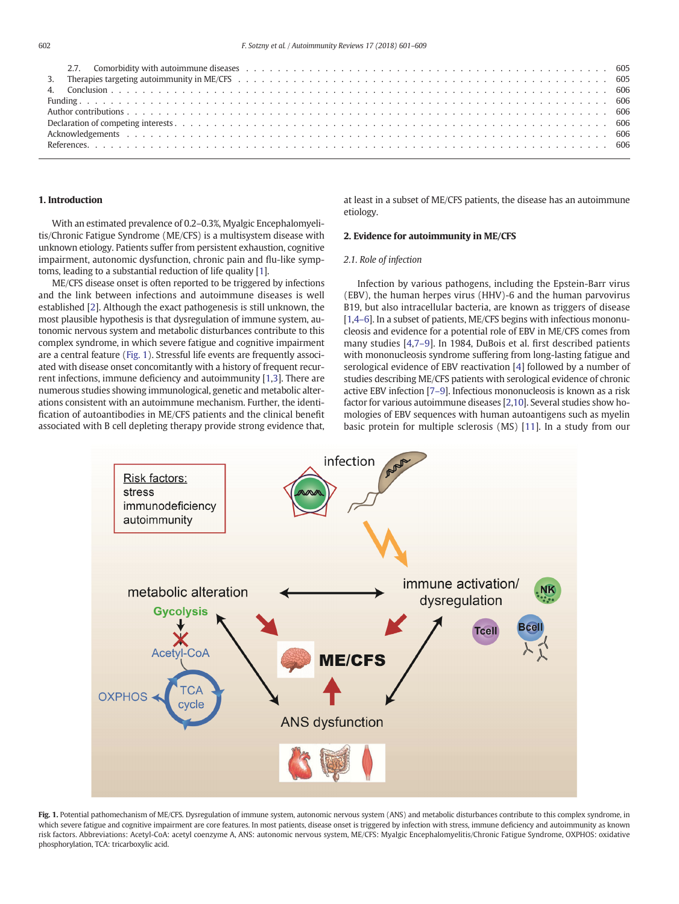| 2.7. Comorbidity with autoimmune diseases enterpretation of the content of the season of the season of the season of the season of the season of the season of the season of the season of the season of the season of the sea |  |
|--------------------------------------------------------------------------------------------------------------------------------------------------------------------------------------------------------------------------------|--|
| 3. Therapies targeting autoimmunity in ME/CFS (and also case of also case of also case of also case of also case of $505$                                                                                                      |  |
|                                                                                                                                                                                                                                |  |
|                                                                                                                                                                                                                                |  |
|                                                                                                                                                                                                                                |  |
|                                                                                                                                                                                                                                |  |
|                                                                                                                                                                                                                                |  |
|                                                                                                                                                                                                                                |  |
|                                                                                                                                                                                                                                |  |

### 1. Introduction

With an estimated prevalence of 0.2–0.3%, Myalgic Encephalomyelitis/Chronic Fatigue Syndrome (ME/CFS) is a multisystem disease with unknown etiology. Patients suffer from persistent exhaustion, cognitive impairment, autonomic dysfunction, chronic pain and flu-like symptoms, leading to a substantial reduction of life quality [\[1\]](#page-5-0).

ME/CFS disease onset is often reported to be triggered by infections and the link between infections and autoimmune diseases is well established [\[2\]](#page-5-0). Although the exact pathogenesis is still unknown, the most plausible hypothesis is that dysregulation of immune system, autonomic nervous system and metabolic disturbances contribute to this complex syndrome, in which severe fatigue and cognitive impairment are a central feature (Fig. 1). Stressful life events are frequently associated with disease onset concomitantly with a history of frequent recurrent infections, immune deficiency and autoimmunity [\[1,3\]](#page-5-0). There are numerous studies showing immunological, genetic and metabolic alterations consistent with an autoimmune mechanism. Further, the identification of autoantibodies in ME/CFS patients and the clinical benefit associated with B cell depleting therapy provide strong evidence that, at least in a subset of ME/CFS patients, the disease has an autoimmune etiology.

#### 2. Evidence for autoimmunity in ME/CFS

#### 2.1. Role of infection

Infection by various pathogens, including the Epstein-Barr virus (EBV), the human herpes virus (HHV)-6 and the human parvovirus B19, but also intracellular bacteria, are known as triggers of disease [\[1,](#page-5-0)4[–](#page-5-0)6]. In a subset of patients, ME/CFS begins with infectious mononucleosis and evidence for a potential role of EBV in ME/CFS comes from many studies [[4,7](#page-5-0)–9]. In 1984, DuBois et al. first described patients with mononucleosis syndrome suffering from long-lasting fatigue and serological evidence of EBV reactivation [[4](#page-5-0)] followed by a number of studies describing ME/CFS patients with serological evidence of chronic active EBV infection [7–[9\]](#page-5-0). Infectious mononucleosis is known as a risk factor for various autoimmune diseases [\[2,](#page-5-0)[10](#page-6-0)]. Several studies show homologies of EBV sequences with human autoantigens such as myelin basic protein for multiple sclerosis (MS) [[11\]](#page-6-0). In a study from our



Fig. 1. Potential pathomechanism of ME/CFS. Dysregulation of immune system, autonomic nervous system (ANS) and metabolic disturbances contribute to this complex syndrome, in which severe fatigue and cognitive impairment are core features. In most patients, disease onset is triggered by infection with stress, immune deficiency and autoimmunity as known risk factors. Abbreviations: Acetyl-CoA: acetyl coenzyme A, ANS: autonomic nervous system, ME/CFS: Myalgic Encephalomyelitis/Chronic Fatigue Syndrome, OXPHOS: oxidative phosphorylation, TCA: tricarboxylic acid.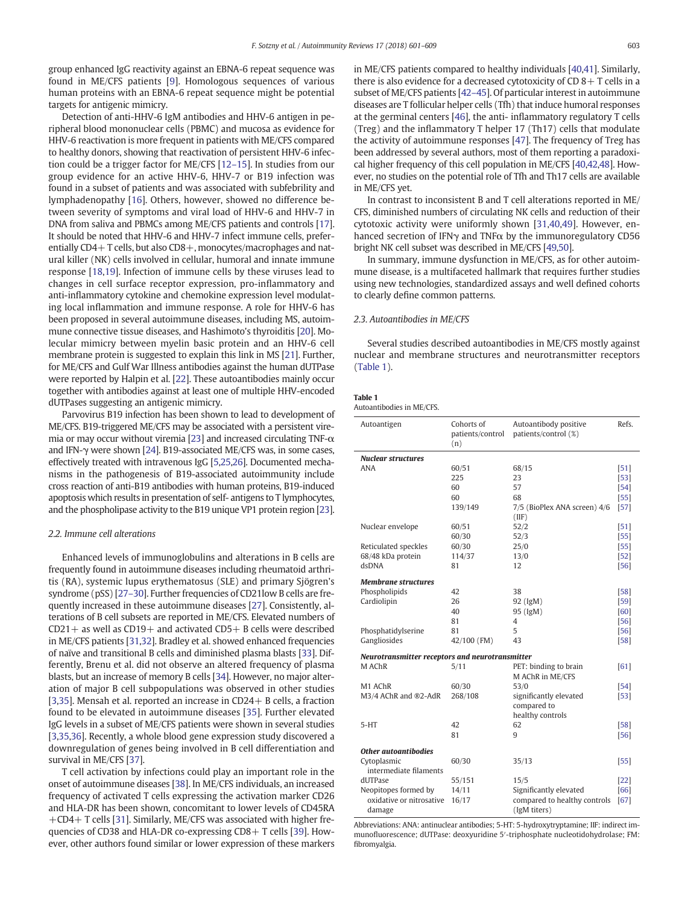group enhanced IgG reactivity against an EBNA-6 repeat sequence was found in ME/CFS patients [[9](#page-5-0)]. Homologous sequences of various human proteins with an EBNA-6 repeat sequence might be potential targets for antigenic mimicry.

Detection of anti-HHV-6 IgM antibodies and HHV-6 antigen in peripheral blood mononuclear cells (PBMC) and mucosa as evidence for HHV-6 reactivation is more frequent in patients with ME/CFS compared to healthy donors, showing that reactivation of persistent HHV-6 infection could be a trigger factor for ME/CFS [12–[15\]](#page-6-0). In studies from our group evidence for an active HHV-6, HHV-7 or B19 infection was found in a subset of patients and was associated with subfebrility and lymphadenopathy [\[16\]](#page-6-0). Others, however, showed no difference between severity of symptoms and viral load of HHV-6 and HHV-7 in DNA from saliva and PBMCs among ME/CFS patients and controls [\[17](#page-6-0)]. It should be noted that HHV-6 and HHV-7 infect immune cells, preferentially CD4+T cells, but also CD8+, monocytes/macrophages and natural killer (NK) cells involved in cellular, humoral and innate immune response [[18](#page-6-0),[19](#page-6-0)]. Infection of immune cells by these viruses lead to changes in cell surface receptor expression, pro-inflammatory and anti-inflammatory cytokine and chemokine expression level modulating local inflammation and immune response. A role for HHV-6 has been proposed in several autoimmune diseases, including MS, autoimmune connective tissue diseases, and Hashimoto's thyroiditis [\[20](#page-6-0)]. Molecular mimicry between myelin basic protein and an HHV-6 cell membrane protein is suggested to explain this link in MS [\[21\]](#page-6-0). Further, for ME/CFS and Gulf War Illness antibodies against the human dUTPase were reported by Halpin et al. [\[22](#page-6-0)]. These autoantibodies mainly occur together with antibodies against at least one of multiple HHV-encoded dUTPases suggesting an antigenic mimicry.

Parvovirus B19 infection has been shown to lead to development of ME/CFS. B19-triggered ME/CFS may be associated with a persistent vire-mia or may occur without viremia [[23](#page-6-0)] and increased circulating TNF- $\alpha$ and IFN-γ were shown [[24\]](#page-6-0). B19-associated ME/CFS was, in some cases, effectively treated with intravenous IgG [\[5,](#page-5-0)[25,26\]](#page-6-0). Documented mechanisms in the pathogenesis of B19-associated autoimmunity include cross reaction of anti-B19 antibodies with human proteins, B19-induced apoptosis which results in presentation of self- antigens to T lymphocytes, and the phospholipase activity to the B19 unique VP1 protein region [\[23](#page-6-0)].

#### 2.2. Immune cell alterations

Enhanced levels of immunoglobulins and alterations in B cells are frequently found in autoimmune diseases including rheumatoid arthritis (RA), systemic lupus erythematosus (SLE) and primary Sjögren's syndrome (pSS) [27–[30\]](#page-6-0). Further frequencies of CD21low B cells are frequently increased in these autoimmune diseases [[27\]](#page-6-0). Consistently, alterations of B cell subsets are reported in ME/CFS. Elevated numbers of  $CD21+$  as well as  $CD19+$  and activated  $CD5+$  B cells were described in ME/CFS patients [\[31,32\]](#page-6-0). Bradley et al. showed enhanced frequencies of naïve and transitional B cells and diminished plasma blasts [[33\]](#page-6-0). Differently, Brenu et al. did not observe an altered frequency of plasma blasts, but an increase of memory B cells [\[34](#page-6-0)]. However, no major alteration of major B cell subpopulations was observed in other studies [\[3,](#page-5-0)[35\]](#page-6-0). Mensah et al. reported an increase in CD24+ B cells, a fraction found to be elevated in autoimmune diseases [\[35](#page-6-0)]. Further elevated IgG levels in a subset of ME/CFS patients were shown in several studies [\[3,](#page-5-0)[35,36](#page-6-0)]. Recently, a whole blood gene expression study discovered a downregulation of genes being involved in B cell differentiation and survival in ME/CFS [\[37](#page-6-0)].

T cell activation by infections could play an important role in the onset of autoimmune diseases [[38\]](#page-6-0). In ME/CFS individuals, an increased frequency of activated T cells expressing the activation marker CD26 and HLA-DR has been shown, concomitant to lower levels of CD45RA +CD4+ T cells [\[31](#page-6-0)]. Similarly, ME/CFS was associated with higher frequencies of CD38 and HLA-DR co-expressing CD8+ T cells [\[39\]](#page-6-0). However, other authors found similar or lower expression of these markers in ME/CFS patients compared to healthy individuals [\[40,41](#page-6-0)]. Similarly, there is also evidence for a decreased cytotoxicity of  $CD$  8 + T cells in a subset of ME/CFS patients [42–[45\]](#page-6-0). Of particular interest in autoimmune diseases are T follicular helper cells (Tfh) that induce humoral responses at the germinal centers [\[46](#page-6-0)], the anti- inflammatory regulatory T cells (Treg) and the inflammatory T helper 17 (Th17) cells that modulate the activity of autoimmune responses [\[47](#page-6-0)]. The frequency of Treg has been addressed by several authors, most of them reporting a paradoxical higher frequency of this cell population in ME/CFS [[40,42,48\]](#page-6-0). However, no studies on the potential role of Tfh and Th17 cells are available in ME/CFS yet.

In contrast to inconsistent B and T cell alterations reported in ME/ CFS, diminished numbers of circulating NK cells and reduction of their cytotoxic activity were uniformly shown [[31,40,49](#page-6-0)]. However, enhanced secretion of IFNγ and TNFα by the immunoregulatory CD56 bright NK cell subset was described in ME/CFS [\[49,50](#page-6-0)].

In summary, immune dysfunction in ME/CFS, as for other autoimmune disease, is a multifaceted hallmark that requires further studies using new technologies, standardized assays and well defined cohorts to clearly define common patterns.

#### 2.3. Autoantibodies in ME/CFS

Several studies described autoantibodies in ME/CFS mostly against nuclear and membrane structures and neurotransmitter receptors (Table 1).

| Table<br>$\sim$ |  |
|-----------------|--|
|-----------------|--|

| Autoantibodies in ME/CFS |  |  |
|--------------------------|--|--|
|                          |  |  |

| Autoantigen                                     | Cohorts of<br>patients/control<br>(n) | Autoantibody positive<br>patients/control (%) | Refs.  |
|-------------------------------------------------|---------------------------------------|-----------------------------------------------|--------|
| <b>Nuclear structures</b>                       |                                       |                                               |        |
| <b>ANA</b>                                      | 60/51                                 | 68/15                                         | $[51]$ |
|                                                 | 225                                   | 23                                            | $[53]$ |
|                                                 | 60                                    | 57                                            | $[54]$ |
|                                                 | 60                                    | 68                                            | $[55]$ |
|                                                 | 139/149                               | 7/5 (BioPlex ANA screen) 4/6<br>(IIF)         | $[57]$ |
| Nuclear envelope                                | 60/51                                 | 52/2                                          | $[51]$ |
|                                                 | 60/30                                 | 52/3                                          | $[55]$ |
| Reticulated speckles                            | 60/30                                 | 25/0                                          | $[55]$ |
| 68/48 kDa protein                               | 114/37                                | 13/0                                          | $[52]$ |
| dsDNA                                           | 81                                    | 12                                            | $[56]$ |
|                                                 |                                       |                                               |        |
| <b>Membrane structures</b>                      |                                       |                                               |        |
| Phospholipids                                   | 42<br>26                              | 38                                            | $[58]$ |
| Cardiolipin                                     |                                       | 92 (IgM)                                      | $[59]$ |
|                                                 | 40                                    | 95 (IgM)                                      | [60]   |
|                                                 | 81                                    | 4                                             | $[56]$ |
| Phosphatidylserine                              | 81                                    | 5                                             | $[56]$ |
| Gangliosides                                    | 42/100 (FM)                           | 43                                            | $[58]$ |
| Neurotransmitter receptors and neurotransmitter |                                       |                                               |        |
| M AChR                                          | 5/11                                  | PET: binding to brain                         | [61]   |
|                                                 |                                       | M AChR in ME/CFS                              |        |
| M1 AChR                                         | 60/30                                 | 53/0                                          | $[54]$ |
| M3/4 AChR and ®2-AdR                            | 268/108                               | significantly elevated                        | $[53]$ |
|                                                 |                                       | compared to                                   |        |
|                                                 |                                       | healthy controls                              |        |
| 5-HT                                            | 42                                    | 62                                            | $[58]$ |
|                                                 | 81                                    | 9                                             | $[56]$ |
|                                                 |                                       |                                               |        |
| <b>Other autoantibodies</b>                     |                                       |                                               |        |
| Cytoplasmic                                     | 60/30                                 | 35/13                                         | $[55]$ |
| intermediate filaments                          |                                       |                                               |        |
| dUTPase                                         | 55/151                                | 15/5                                          | $[22]$ |
| Neopitopes formed by                            | 14/11                                 | Significantly elevated                        | [66]   |
| oxidative or nitrosative<br>damage              | 16/17                                 | compared to healthy controls<br>(IgM titers)  | [67]   |

Abbreviations: ANA: antinuclear antibodies; 5-HT: 5-hydroxytryptamine; IIF: indirect immunofluorescence; dUTPase: deoxyuridine 5′-triphosphate nucleotidohydrolase; FM: fibromyalgia.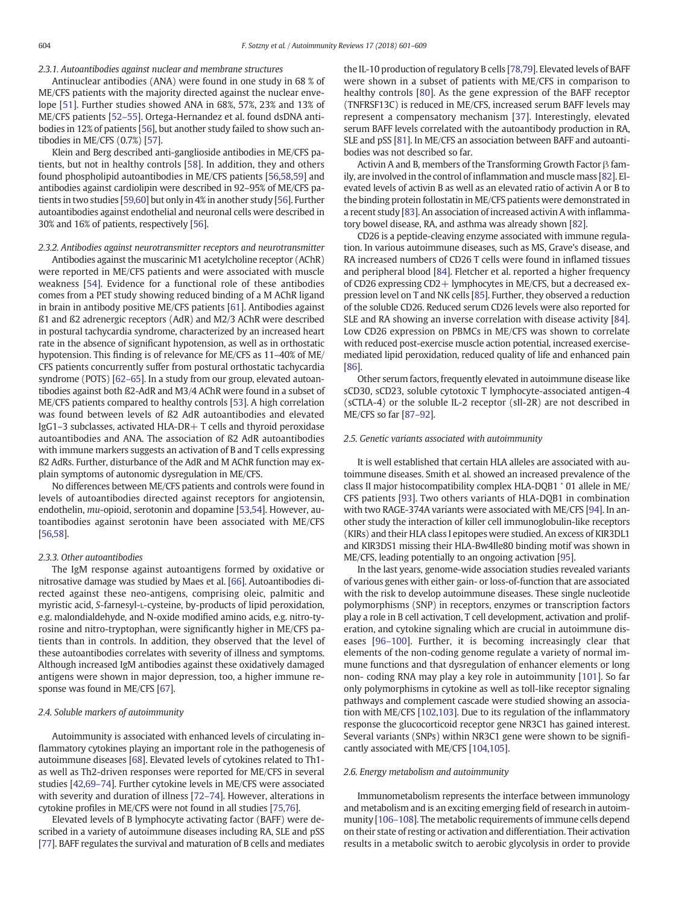2.3.1. Autoantibodies against nuclear and membrane structures

Antinuclear antibodies (ANA) were found in one study in 68 % of ME/CFS patients with the majority directed against the nuclear envelope [\[51](#page-6-0)]. Further studies showed ANA in 68%, 57%, 23% and 13% of ME/CFS patients [52–[55\]](#page-6-0). Ortega-Hernandez et al. found dsDNA antibodies in 12% of patients [\[56](#page-6-0)], but another study failed to show such antibodies in ME/CFS (0.7%) [\[57](#page-6-0)].

Klein and Berg described anti-ganglioside antibodies in ME/CFS patients, but not in healthy controls [\[58\]](#page-6-0). In addition, they and others found phospholipid autoantibodies in ME/CFS patients [[56,58,59](#page-6-0)] and antibodies against cardiolipin were described in 92–95% of ME/CFS patients in two studies [\[59,60\]](#page-6-0) but only in 4% in another study [\[56](#page-6-0)]. Further autoantibodies against endothelial and neuronal cells were described in 30% and 16% of patients, respectively [[56\]](#page-6-0).

2.3.2. Antibodies against neurotransmitter receptors and neurotransmitter

Antibodies against the muscarinic M1 acetylcholine receptor (AChR) were reported in ME/CFS patients and were associated with muscle weakness [\[54](#page-6-0)]. Evidence for a functional role of these antibodies comes from a PET study showing reduced binding of a M AChR ligand in brain in antibody positive ME/CFS patients [\[61](#page-6-0)]. Antibodies against ß1 and ß2 adrenergic receptors (AdR) and M2/3 AChR were described in postural tachycardia syndrome, characterized by an increased heart rate in the absence of significant hypotension, as well as in orthostatic hypotension. This finding is of relevance for ME/CFS as 11–40% of ME/ CFS patients concurrently suffer from postural orthostatic tachycardia syndrome (POTS) [\[62](#page-6-0)–65]. In a study from our group, elevated autoantibodies against both ß2-AdR and M3/4 AChR were found in a subset of ME/CFS patients compared to healthy controls [[53\]](#page-6-0). A high correlation was found between levels of ß2 AdR autoantibodies and elevated IgG1–3 subclasses, activated HLA-DR+ T cells and thyroid peroxidase autoantibodies and ANA. The association of ß2 AdR autoantibodies with immune markers suggests an activation of B and T cells expressing ß2 AdRs. Further, disturbance of the AdR and M AChR function may explain symptoms of autonomic dysregulation in ME/CFS.

No differences between ME/CFS patients and controls were found in levels of autoantibodies directed against receptors for angiotensin, endothelin, mu-opioid, serotonin and dopamine [\[53](#page-6-0),[54\]](#page-6-0). However, autoantibodies against serotonin have been associated with ME/CFS [\[56,58\]](#page-6-0).

#### 2.3.3. Other autoantibodies

The IgM response against autoantigens formed by oxidative or nitrosative damage was studied by Maes et al. [[66\]](#page-7-0). Autoantibodies directed against these neo-antigens, comprising oleic, palmitic and myristic acid, S-farnesyl-L-cysteine, by-products of lipid peroxidation, e.g. malondialdehyde, and N-oxide modified amino acids, e.g. nitro-tyrosine and nitro-tryptophan, were significantly higher in ME/CFS patients than in controls. In addition, they observed that the level of these autoantibodies correlates with severity of illness and symptoms. Although increased IgM antibodies against these oxidatively damaged antigens were shown in major depression, too, a higher immune response was found in ME/CFS [\[67](#page-7-0)].

#### 2.4. Soluble markers of autoimmunity

Autoimmunity is associated with enhanced levels of circulating inflammatory cytokines playing an important role in the pathogenesis of autoimmune diseases [[68\]](#page-7-0). Elevated levels of cytokines related to Th1 as well as Th2-driven responses were reported for ME/CFS in several studies [\[42](#page-6-0),69–[74\]](#page-7-0). Further cytokine levels in ME/CFS were associated with severity and duration of illness [\[72](#page-7-0)–74]. However, alterations in cytokine profiles in ME/CFS were not found in all studies [[75,76](#page-7-0)].

Elevated levels of B lymphocyte activating factor (BAFF) were described in a variety of autoimmune diseases including RA, SLE and pSS [\[77](#page-7-0)]. BAFF regulates the survival and maturation of B cells and mediates the IL-10 production of regulatory B cells [[78,79](#page-7-0)]. Elevated levels of BAFF were shown in a subset of patients with ME/CFS in comparison to healthy controls [\[80](#page-7-0)]. As the gene expression of the BAFF receptor (TNFRSF13C) is reduced in ME/CFS, increased serum BAFF levels may represent a compensatory mechanism [\[37](#page-6-0)]. Interestingly, elevated serum BAFF levels correlated with the autoantibody production in RA, SLE and pSS [\[81](#page-7-0)]. In ME/CFS an association between BAFF and autoantibodies was not described so far.

Activin A and B, members of the Transforming Growth Factor β family, are involved in the control of inflammation and muscle mass [\[82\]](#page-7-0). Elevated levels of activin B as well as an elevated ratio of activin A or B to the binding protein follostatin in ME/CFS patients were demonstrated in a recent study [\[83\]](#page-7-0). An association of increased activin A with inflammatory bowel disease, RA, and asthma was already shown [\[82](#page-7-0)].

CD26 is a peptide-cleaving enzyme associated with immune regulation. In various autoimmune diseases, such as MS, Grave's disease, and RA increased numbers of CD26 T cells were found in inflamed tissues and peripheral blood [\[84](#page-7-0)]. Fletcher et al. reported a higher frequency of CD26 expressing CD2+ lymphocytes in ME/CFS, but a decreased expression level on T and NK cells [\[85](#page-7-0)]. Further, they observed a reduction of the soluble CD26. Reduced serum CD26 levels were also reported for SLE and RA showing an inverse correlation with disease activity [\[84](#page-7-0)]. Low CD26 expression on PBMCs in ME/CFS was shown to correlate with reduced post-exercise muscle action potential, increased exercisemediated lipid peroxidation, reduced quality of life and enhanced pain [\[86](#page-7-0)].

Other serum factors, frequently elevated in autoimmune disease like sCD30, sCD23, soluble cytotoxic T lymphocyte-associated antigen-4 (sCTLA-4) or the soluble IL-2 receptor (sIl-2R) are not described in ME/CFS so far [\[87](#page-7-0)–92].

#### 2.5. Genetic variants associated with autoimmunity

It is well established that certain HLA alleles are associated with autoimmune diseases. Smith et al. showed an increased prevalence of the class II major histocompatibility complex HLA-DQB1 <sup>∗</sup> 01 allele in ME/ CFS patients [\[93\]](#page-7-0). Two others variants of HLA-DQB1 in combination with two RAGE-374A variants were associated with ME/CFS [[94\]](#page-7-0). In another study the interaction of killer cell immunoglobulin-like receptors (KIRs) and their HLA class I epitopes were studied. An excess of KIR3DL1 and KIR3DS1 missing their HLA-Bw4Ile80 binding motif was shown in ME/CFS, leading potentially to an ongoing activation [[95\]](#page-7-0).

In the last years, genome-wide association studies revealed variants of various genes with either gain- or loss-of-function that are associated with the risk to develop autoimmune diseases. These single nucleotide polymorphisms (SNP) in receptors, enzymes or transcription factors play a role in B cell activation, T cell development, activation and proliferation, and cytokine signaling which are crucial in autoimmune diseases [96–[100](#page-7-0)]. Further, it is becoming increasingly clear that elements of the non-coding genome regulate a variety of normal immune functions and that dysregulation of enhancer elements or long non- coding RNA may play a key role in autoimmunity [[101](#page-7-0)]. So far only polymorphisms in cytokine as well as toll-like receptor signaling pathways and complement cascade were studied showing an association with ME/CFS [\[102,103](#page-7-0)]. Due to its regulation of the inflammatory response the glucocorticoid receptor gene NR3C1 has gained interest. Several variants (SNPs) within NR3C1 gene were shown to be significantly associated with ME/CFS [\[104,105\]](#page-7-0).

#### 2.6. Energy metabolism and autoimmunity

Immunometabolism represents the interface between immunology and metabolism and is an exciting emerging field of research in autoimmunity [106–[108\]](#page-7-0). The metabolic requirements of immune cells depend on their state of resting or activation and differentiation. Their activation results in a metabolic switch to aerobic glycolysis in order to provide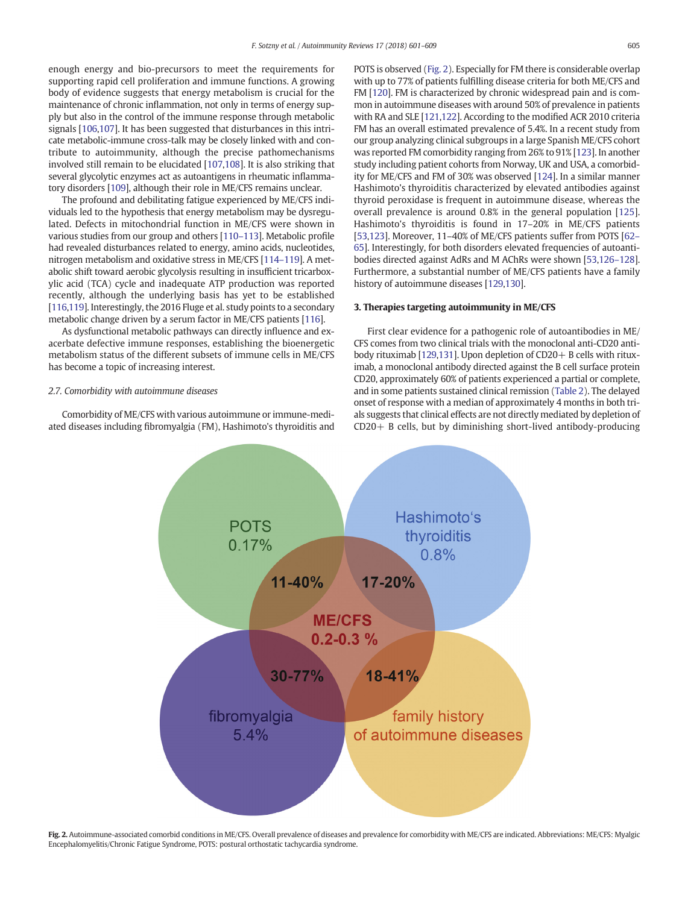enough energy and bio-precursors to meet the requirements for supporting rapid cell proliferation and immune functions. A growing body of evidence suggests that energy metabolism is crucial for the maintenance of chronic inflammation, not only in terms of energy supply but also in the control of the immune response through metabolic signals [[106,107\]](#page-7-0). It has been suggested that disturbances in this intricate metabolic-immune cross-talk may be closely linked with and contribute to autoimmunity, although the precise pathomechanisms involved still remain to be elucidated [[107,108\]](#page-7-0). It is also striking that several glycolytic enzymes act as autoantigens in rheumatic inflammatory disorders [\[109](#page-7-0)], although their role in ME/CFS remains unclear.

The profound and debilitating fatigue experienced by ME/CFS individuals led to the hypothesis that energy metabolism may be dysregulated. Defects in mitochondrial function in ME/CFS were shown in various studies from our group and others [110–[113\]](#page-7-0). Metabolic profile had revealed disturbances related to energy, amino acids, nucleotides, nitrogen metabolism and oxidative stress in ME/CFS [\[114](#page-7-0)–119]. A metabolic shift toward aerobic glycolysis resulting in insufficient tricarboxylic acid (TCA) cycle and inadequate ATP production was reported recently, although the underlying basis has yet to be established [\[116,119\]](#page-7-0). Interestingly, the 2016 Fluge et al. study points to a secondary metabolic change driven by a serum factor in ME/CFS patients [\[116\]](#page-7-0).

As dysfunctional metabolic pathways can directly influence and exacerbate defective immune responses, establishing the bioenergetic metabolism status of the different subsets of immune cells in ME/CFS has become a topic of increasing interest.

#### 2.7. Comorbidity with autoimmune diseases

Comorbidity of ME/CFS with various autoimmune or immune-mediated diseases including fibromyalgia (FM), Hashimoto's thyroiditis and POTS is observed (Fig. 2). Especially for FM there is considerable overlap with up to 77% of patients fulfilling disease criteria for both ME/CFS and FM [[120](#page-7-0)]. FM is characterized by chronic widespread pain and is common in autoimmune diseases with around 50% of prevalence in patients with RA and SLE [\[121,122\]](#page-7-0). According to the modified ACR 2010 criteria FM has an overall estimated prevalence of 5.4%. In a recent study from our group analyzing clinical subgroups in a large Spanish ME/CFS cohort was reported FM comorbidity ranging from 26% to 91% [[123](#page-7-0)]. In another study including patient cohorts from Norway, UK and USA, a comorbidity for ME/CFS and FM of 30% was observed [\[124\]](#page-7-0). In a similar manner Hashimoto's thyroiditis characterized by elevated antibodies against thyroid peroxidase is frequent in autoimmune disease, whereas the overall prevalence is around 0.8% in the general population [[125\]](#page-8-0). Hashimoto's thyroiditis is found in 17–20% in ME/CFS patients [\[53](#page-6-0)[,123\]](#page-7-0). Moreover, 11–40% of ME/CFS patients suffer from POTS [\[62](#page-6-0)– [65\]](#page-6-0). Interestingly, for both disorders elevated frequencies of autoantibodies directed against AdRs and M AChRs were shown [[53](#page-6-0)[,126](#page-8-0)–128]. Furthermore, a substantial number of ME/CFS patients have a family history of autoimmune diseases [\[129,130\]](#page-8-0).

### 3. Therapies targeting autoimmunity in ME/CFS

First clear evidence for a pathogenic role of autoantibodies in ME/ CFS comes from two clinical trials with the monoclonal anti-CD20 antibody rituximab [[129](#page-8-0),[131](#page-8-0)]. Upon depletion of CD20+ B cells with rituximab, a monoclonal antibody directed against the B cell surface protein CD20, approximately 60% of patients experienced a partial or complete, and in some patients sustained clinical remission [\(Table 2](#page-5-0)). The delayed onset of response with a median of approximately 4 months in both trials suggests that clinical effects are not directly mediated by depletion of CD20+ B cells, but by diminishing short-lived antibody-producing



Fig. 2. Autoimmune-associated comorbid conditions in ME/CFS. Overall prevalence of diseases and prevalence for comorbidity with ME/CFS are indicated. Abbreviations: ME/CFS: Myalgic Encephalomyelitis/Chronic Fatigue Syndrome, POTS: postural orthostatic tachycardia syndrome.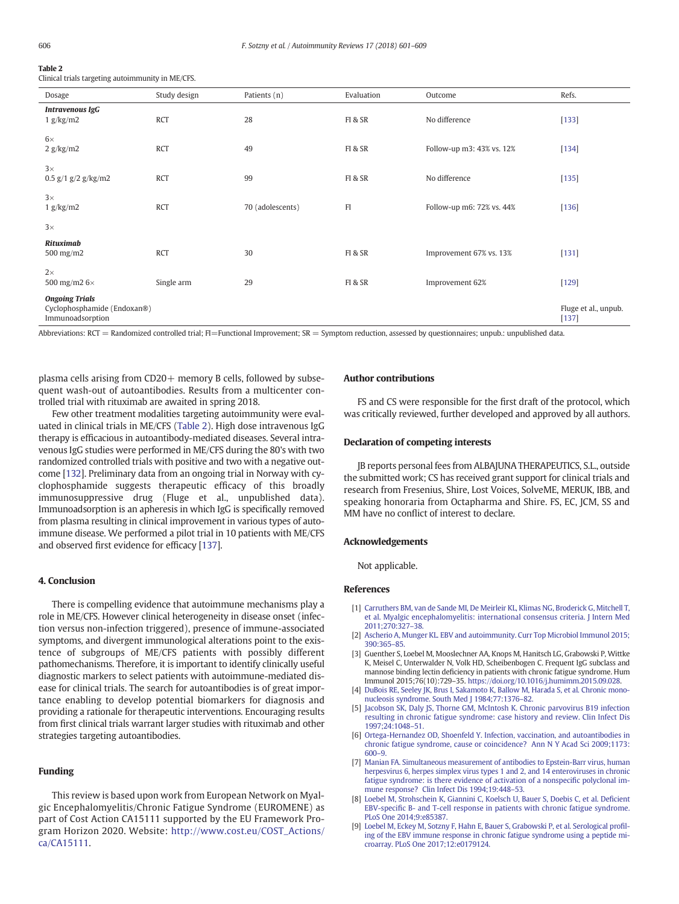## <span id="page-5-0"></span>Table 2

Clinical trials targeting autoimmunity in ME/CFS.

| Dosage                                                                   | Study design | Patients (n)     | Evaluation | Outcome                   | Refs.                           |
|--------------------------------------------------------------------------|--------------|------------------|------------|---------------------------|---------------------------------|
| <b>Intravenous IgG</b><br>1 g/kg/m2                                      | <b>RCT</b>   | 28               | FI & SR    | No difference             | $[133]$                         |
| $6\times$<br>2 g/kg/m2                                                   | <b>RCT</b>   | 49               | FI & SR    | Follow-up m3: 43% vs. 12% | $[134]$                         |
| $3\times$<br>0.5 $g/1$ $g/2$ $g/kg/m2$                                   | <b>RCT</b>   | 99               | FI & SR    | No difference             | $[135]$                         |
| $3\times$<br>1 g/kg/m2                                                   | <b>RCT</b>   | 70 (adolescents) | F1         | Follow-up m6: 72% vs. 44% | $[136]$                         |
| $3\times$                                                                |              |                  |            |                           |                                 |
| <b>Rituximab</b><br>500 mg/m $2$                                         | <b>RCT</b>   | 30               | FI & SR    | Improvement 67% vs. 13%   | [131]                           |
| $2\times$<br>500 mg/m2 6×                                                | Single arm   | 29               | FI & SR    | Improvement 62%           | $[129]$                         |
| <b>Ongoing Trials</b><br>Cyclophosphamide (Endoxan®)<br>Immunoadsorption |              |                  |            |                           | Fluge et al., unpub.<br>$[137]$ |

Abbreviations:  $RCT =$  Randomized controlled trial;  $FI =$ Functional Improvement;  $SR =$  Symptom reduction, assessed by questionnaires; unpublished data.

plasma cells arising from  $CD20+$  memory B cells, followed by subsequent wash-out of autoantibodies. Results from a multicenter controlled trial with rituximab are awaited in spring 2018.

Few other treatment modalities targeting autoimmunity were evaluated in clinical trials in ME/CFS (Table 2). High dose intravenous IgG therapy is efficacious in autoantibody-mediated diseases. Several intravenous IgG studies were performed in ME/CFS during the 80's with two randomized controlled trials with positive and two with a negative outcome [[132](#page-8-0)]. Preliminary data from an ongoing trial in Norway with cyclophosphamide suggests therapeutic efficacy of this broadly immunosuppressive drug (Fluge et al., unpublished data). Immunoadsorption is an apheresis in which IgG is specifically removed from plasma resulting in clinical improvement in various types of autoimmune disease. We performed a pilot trial in 10 patients with ME/CFS and observed first evidence for efficacy [\[137](#page-8-0)].

#### 4. Conclusion

There is compelling evidence that autoimmune mechanisms play a role in ME/CFS. However clinical heterogeneity in disease onset (infection versus non-infection triggered), presence of immune-associated symptoms, and divergent immunological alterations point to the existence of subgroups of ME/CFS patients with possibly different pathomechanisms. Therefore, it is important to identify clinically useful diagnostic markers to select patients with autoimmune-mediated disease for clinical trials. The search for autoantibodies is of great importance enabling to develop potential biomarkers for diagnosis and providing a rationale for therapeutic interventions. Encouraging results from first clinical trials warrant larger studies with rituximab and other strategies targeting autoantibodies.

### Funding

This review is based upon work from European Network on Myalgic Encephalomyelitis/Chronic Fatigue Syndrome (EUROMENE) as part of Cost Action CA15111 supported by the EU Framework Program Horizon 2020. Website: [http://www.cost.eu/COST\\_Actions/](http://www.cost.eu/COST_Actions/ca/CA15111) [ca/CA15111](http://www.cost.eu/COST_Actions/ca/CA15111).

#### Author contributions

FS and CS were responsible for the first draft of the protocol, which was critically reviewed, further developed and approved by all authors.

#### Declaration of competing interests

JB reports personal fees from ALBAJUNA THERAPEUTICS, S.L., outside the submitted work; CS has received grant support for clinical trials and research from Fresenius, Shire, Lost Voices, SolveME, MERUK, IBB, and speaking honoraria from Octapharma and Shire. FS, EC, JCM, SS and MM have no conflict of interest to declare.

#### Acknowledgements

Not applicable.

#### References

- [1] [Carruthers BM, van de Sande MI, De Meirleir KL, Klimas NG, Broderick G, Mitchell T,](http://refhub.elsevier.com/S1568-9972(18)30088-0/rf0005) [et al. Myalgic encephalomyelitis: international consensus criteria. J Intern Med](http://refhub.elsevier.com/S1568-9972(18)30088-0/rf0005) [2011;270:327](http://refhub.elsevier.com/S1568-9972(18)30088-0/rf0005)–38.
- [2] [Ascherio A, Munger KL. EBV and autoimmunity. Curr Top Microbiol Immunol 2015;](http://refhub.elsevier.com/S1568-9972(18)30088-0/rf0010) [390:365](http://refhub.elsevier.com/S1568-9972(18)30088-0/rf0010)–85.
- [3] Guenther S, Loebel M, Mooslechner AA, Knops M, Hanitsch LG, Grabowski P, Wittke K, Meisel C, Unterwalder N, Volk HD, Scheibenbogen C. Frequent IgG subclass and mannose binding lectin deficiency in patients with chronic fatigue syndrome. Hum Immunol 2015;76(10):729–35. <https://doi.org/10.1016/j.humimm.2015.09.028>.
- [4] [DuBois RE, Seeley JK, Brus I, Sakamoto K, Ballow M, Harada S, et al. Chronic mono](http://refhub.elsevier.com/S1568-9972(18)30088-0/rf0020)[nucleosis syndrome. South Med J 1984;77:1376](http://refhub.elsevier.com/S1568-9972(18)30088-0/rf0020)–82.
- [5] [Jacobson SK, Daly JS, Thorne GM, McIntosh K. Chronic parvovirus B19 infection](http://refhub.elsevier.com/S1568-9972(18)30088-0/rf0025) [resulting in chronic fatigue syndrome: case history and review. Clin Infect Dis](http://refhub.elsevier.com/S1568-9972(18)30088-0/rf0025) [1997;24:1048](http://refhub.elsevier.com/S1568-9972(18)30088-0/rf0025)–51.
- [6] [Ortega-Hernandez OD, Shoenfeld Y. Infection, vaccination, and autoantibodies in](http://refhub.elsevier.com/S1568-9972(18)30088-0/rf0030) [chronic fatigue syndrome, cause or coincidence? Ann N Y Acad Sci 2009;1173:](http://refhub.elsevier.com/S1568-9972(18)30088-0/rf0030) [600](http://refhub.elsevier.com/S1568-9972(18)30088-0/rf0030)–9.
- [7] [Manian FA. Simultaneous measurement of antibodies to Epstein-Barr virus, human](http://refhub.elsevier.com/S1568-9972(18)30088-0/rf0035) [herpesvirus 6, herpes simplex virus types 1 and 2, and 14 enteroviruses in chronic](http://refhub.elsevier.com/S1568-9972(18)30088-0/rf0035) [fatigue syndrome: is there evidence of activation of a nonspeci](http://refhub.elsevier.com/S1568-9972(18)30088-0/rf0035)fic polyclonal im[mune response? Clin Infect Dis 1994;19:448](http://refhub.elsevier.com/S1568-9972(18)30088-0/rf0035)–53.
- [8] [Loebel M, Strohschein K, Giannini C, Koelsch U, Bauer S, Doebis C, et al. De](http://refhub.elsevier.com/S1568-9972(18)30088-0/rf0040)ficient EBV-specifi[c B- and T-cell response in patients with chronic fatigue syndrome.](http://refhub.elsevier.com/S1568-9972(18)30088-0/rf0040) [PLoS One 2014;9:e85387.](http://refhub.elsevier.com/S1568-9972(18)30088-0/rf0040)
- [9] [Loebel M, Eckey M, Sotzny F, Hahn E, Bauer S, Grabowski P, et al. Serological pro](http://refhub.elsevier.com/S1568-9972(18)30088-0/rf0045)fil[ing of the EBV immune response in chronic fatigue syndrome using a peptide mi](http://refhub.elsevier.com/S1568-9972(18)30088-0/rf0045)[croarray. PLoS One 2017;12:e0179124.](http://refhub.elsevier.com/S1568-9972(18)30088-0/rf0045)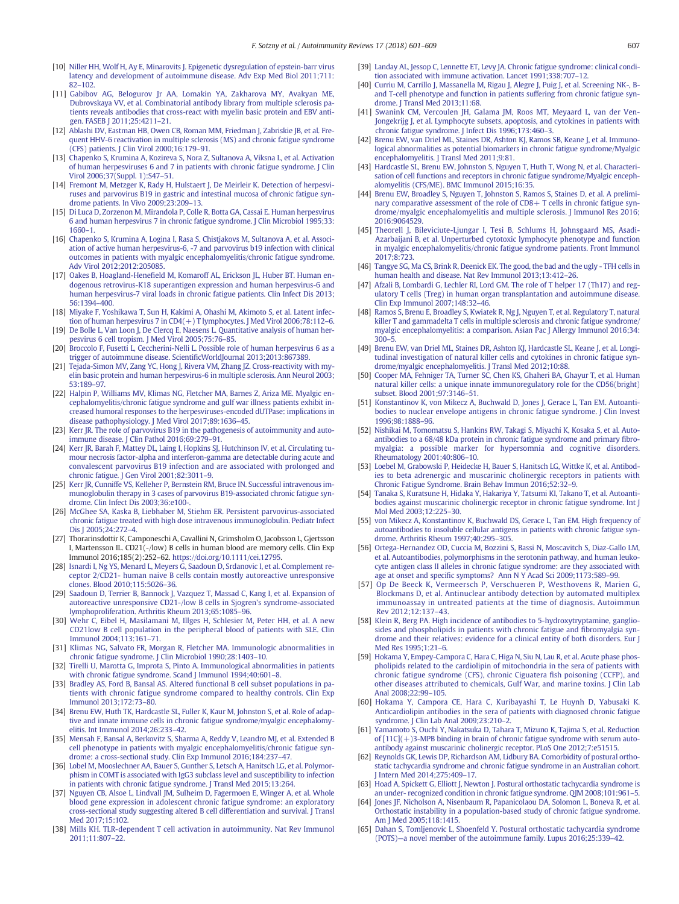- <span id="page-6-0"></span>[10] [Niller HH, Wolf H, Ay E, Minarovits J. Epigenetic dysregulation of epstein-barr virus](http://refhub.elsevier.com/S1568-9972(18)30088-0/rf0050) [latency and development of autoimmune disease. Adv Exp Med Biol 2011;711:](http://refhub.elsevier.com/S1568-9972(18)30088-0/rf0050) 82–[102.](http://refhub.elsevier.com/S1568-9972(18)30088-0/rf0050)
- [11] [Gabibov AG, Belogurov Jr AA, Lomakin YA, Zakharova MY, Avakyan ME,](http://refhub.elsevier.com/S1568-9972(18)30088-0/rf0055) [Dubrovskaya VV, et al. Combinatorial antibody library from multiple sclerosis pa](http://refhub.elsevier.com/S1568-9972(18)30088-0/rf0055)[tients reveals antibodies that cross-react with myelin basic protein and EBV anti](http://refhub.elsevier.com/S1568-9972(18)30088-0/rf0055)[gen. FASEB J 2011;25:4211](http://refhub.elsevier.com/S1568-9972(18)30088-0/rf0055)–21.
- [12] [Ablashi DV, Eastman HB, Owen CB, Roman MM, Friedman J, Zabriskie JB, et al. Fre](http://refhub.elsevier.com/S1568-9972(18)30088-0/rf0060)[quent HHV-6 reactivation in multiple sclerosis \(MS\) and chronic fatigue syndrome](http://refhub.elsevier.com/S1568-9972(18)30088-0/rf0060) [\(CFS\) patients. J Clin Virol 2000;16:179](http://refhub.elsevier.com/S1568-9972(18)30088-0/rf0060)–91.
- [13] [Chapenko S, Krumina A, Kozireva S, Nora Z, Sultanova A, Viksna L, et al. Activation](http://refhub.elsevier.com/S1568-9972(18)30088-0/rf0065) [of human herpesviruses 6 and 7 in patients with chronic fatigue syndrome. J Clin](http://refhub.elsevier.com/S1568-9972(18)30088-0/rf0065) [Virol 2006;37\(Suppl. 1\):S47](http://refhub.elsevier.com/S1568-9972(18)30088-0/rf0065)–51.
- [14] [Fremont M, Metzger K, Rady H, Hulstaert J, De Meirleir K. Detection of herpesvi](http://refhub.elsevier.com/S1568-9972(18)30088-0/rf0070)[ruses and parvovirus B19 in gastric and intestinal mucosa of chronic fatigue syn](http://refhub.elsevier.com/S1568-9972(18)30088-0/rf0070)[drome patients. In Vivo 2009;23:209](http://refhub.elsevier.com/S1568-9972(18)30088-0/rf0070)–13.
- [15] [Di Luca D, Zorzenon M, Mirandola P, Colle R, Botta GA, Cassai E. Human herpesvirus](http://refhub.elsevier.com/S1568-9972(18)30088-0/rf0075) [6 and human herpesvirus 7 in chronic fatigue syndrome. J Clin Microbiol 1995;33:](http://refhub.elsevier.com/S1568-9972(18)30088-0/rf0075) [1660](http://refhub.elsevier.com/S1568-9972(18)30088-0/rf0075)–1.
- [16] [Chapenko S, Krumina A, Logina I, Rasa S, Chistjakovs M, Sultanova A, et al. Associ](http://refhub.elsevier.com/S1568-9972(18)30088-0/rf0080)[ation of active human herpesvirus-6, -7 and parvovirus b19 infection with clinical](http://refhub.elsevier.com/S1568-9972(18)30088-0/rf0080) [outcomes in patients with myalgic encephalomyelitis/chronic fatigue syndrome.](http://refhub.elsevier.com/S1568-9972(18)30088-0/rf0080) [Adv Virol 2012;2012:205085.](http://refhub.elsevier.com/S1568-9972(18)30088-0/rf0080)
- [17] Oakes B, Hoagland-Henefi[eld M, Komaroff AL, Erickson JL, Huber BT. Human en](http://refhub.elsevier.com/S1568-9972(18)30088-0/rf0085)[dogenous retrovirus-K18 superantigen expression and human herpesvirus-6 and](http://refhub.elsevier.com/S1568-9972(18)30088-0/rf0085) [human herpesvirus-7 viral loads in chronic fatigue patients. Clin Infect Dis 2013;](http://refhub.elsevier.com/S1568-9972(18)30088-0/rf0085) [56:1394](http://refhub.elsevier.com/S1568-9972(18)30088-0/rf0085)–400.
- [18] [Miyake F, Yoshikawa T, Sun H, Kakimi A, Ohashi M, Akimoto S, et al. Latent infec](http://refhub.elsevier.com/S1568-9972(18)30088-0/rf0090)[tion of human herpesvirus 7 in CD4\(+\) T lymphocytes. J Med Virol 2006;78:112](http://refhub.elsevier.com/S1568-9972(18)30088-0/rf0090)–6.
- [19] [De Bolle L, Van Loon J, De Clercq E, Naesens L. Quantitative analysis of human her](http://refhub.elsevier.com/S1568-9972(18)30088-0/rf0095)[pesvirus 6 cell tropism. J Med Virol 2005;75:76](http://refhub.elsevier.com/S1568-9972(18)30088-0/rf0095)–85.
- [20] [Broccolo F, Fusetti L, Ceccherini-Nelli L. Possible role of human herpesvirus 6 as a](http://refhub.elsevier.com/S1568-9972(18)30088-0/rf0100) [trigger of autoimmune disease. Scienti](http://refhub.elsevier.com/S1568-9972(18)30088-0/rf0100)ficWorldJournal 2013;2013:867389.
- [21] [Tejada-Simon MV, Zang YC, Hong J, Rivera VM, Zhang JZ. Cross-reactivity with my](http://refhub.elsevier.com/S1568-9972(18)30088-0/rf0105)[elin basic protein and human herpesvirus-6 in multiple sclerosis. Ann Neurol 2003;](http://refhub.elsevier.com/S1568-9972(18)30088-0/rf0105) [53:189](http://refhub.elsevier.com/S1568-9972(18)30088-0/rf0105)–97.
- [22] [Halpin P, Williams MV, Klimas NG, Fletcher MA, Barnes Z, Ariza ME. Myalgic en](http://refhub.elsevier.com/S1568-9972(18)30088-0/rf0110)[cephalomyelitis/chronic fatigue syndrome and gulf war illness patients exhibit in](http://refhub.elsevier.com/S1568-9972(18)30088-0/rf0110)[creased humoral responses to the herpesviruses-encoded dUTPase: implications in](http://refhub.elsevier.com/S1568-9972(18)30088-0/rf0110) [disease pathophysiology. J Med Virol 2017;89:1636](http://refhub.elsevier.com/S1568-9972(18)30088-0/rf0110)–45.
- [23] [Kerr JR. The role of parvovirus B19 in the pathogenesis of autoimmunity and auto](http://refhub.elsevier.com/S1568-9972(18)30088-0/rf0115)[immune disease. J Clin Pathol 2016;69:279](http://refhub.elsevier.com/S1568-9972(18)30088-0/rf0115)–91.
- [24] [Kerr JR, Barah F, Mattey DL, Laing I, Hopkins SJ, Hutchinson IV, et al. Circulating tu](http://refhub.elsevier.com/S1568-9972(18)30088-0/rf0120)[mour necrosis factor-alpha and interferon-gamma are detectable during acute and](http://refhub.elsevier.com/S1568-9972(18)30088-0/rf0120) [convalescent parvovirus B19 infection and are associated with prolonged and](http://refhub.elsevier.com/S1568-9972(18)30088-0/rf0120) [chronic fatigue. J Gen Virol 2001;82:3011](http://refhub.elsevier.com/S1568-9972(18)30088-0/rf0120)–9.
- [25] [Kerr JR, Cunniffe VS, Kelleher P, Bernstein RM, Bruce IN. Successful intravenous im](http://refhub.elsevier.com/S1568-9972(18)30088-0/rf0125)[munoglobulin therapy in 3 cases of parvovirus B19-associated chronic fatigue syn](http://refhub.elsevier.com/S1568-9972(18)30088-0/rf0125)[drome. Clin Infect Dis 2003;36:e100-.](http://refhub.elsevier.com/S1568-9972(18)30088-0/rf0125)
- [26] [McGhee SA, Kaska B, Liebhaber M, Stiehm ER. Persistent parvovirus-associated](http://refhub.elsevier.com/S1568-9972(18)30088-0/rf0130) [chronic fatigue treated with high dose intravenous immunoglobulin. Pediatr Infect](http://refhub.elsevier.com/S1568-9972(18)30088-0/rf0130) [Dis J 2005;24:272](http://refhub.elsevier.com/S1568-9972(18)30088-0/rf0130)–4.
- [27] Thorarinsdottir K, Camponeschi A, Cavallini N, Grimsholm O, Jacobsson L, Gjertsson I, Martensson IL. CD21(-/low) B cells in human blood are memory cells. Clin Exp Immunol 2016;185(2):252–62. <https://doi.org/10.1111/cei.12795>.
- [28] [Isnardi I, Ng YS, Menard L, Meyers G, Saadoun D, Srdanovic I, et al. Complement re](http://refhub.elsevier.com/S1568-9972(18)30088-0/rf0140)[ceptor 2/CD21- human naive B cells contain mostly autoreactive unresponsive](http://refhub.elsevier.com/S1568-9972(18)30088-0/rf0140) [clones. Blood 2010;115:5026](http://refhub.elsevier.com/S1568-9972(18)30088-0/rf0140)–36.
- [29] [Saadoun D, Terrier B, Bannock J, Vazquez T, Massad C, Kang I, et al. Expansion of](http://refhub.elsevier.com/S1568-9972(18)30088-0/rf0145) [autoreactive unresponsive CD21-/low B cells in Sjogren's syndrome-associated](http://refhub.elsevier.com/S1568-9972(18)30088-0/rf0145) [lymphoproliferation. Arthritis Rheum 2013;65:1085](http://refhub.elsevier.com/S1568-9972(18)30088-0/rf0145)–96.
- [30] [Wehr C, Eibel H, Masilamani M, Illges H, Schlesier M, Peter HH, et al. A new](http://refhub.elsevier.com/S1568-9972(18)30088-0/rf0150) [CD21low B cell population in the peripheral blood of patients with SLE. Clin](http://refhub.elsevier.com/S1568-9972(18)30088-0/rf0150) [Immunol 2004;113:161](http://refhub.elsevier.com/S1568-9972(18)30088-0/rf0150)–71.
- [31] [Klimas NG, Salvato FR, Morgan R, Fletcher MA. Immunologic abnormalities in](http://refhub.elsevier.com/S1568-9972(18)30088-0/rf0155) [chronic fatigue syndrome. J Clin Microbiol 1990;28:1403](http://refhub.elsevier.com/S1568-9972(18)30088-0/rf0155)–10.
- [32] [Tirelli U, Marotta G, Improta S, Pinto A. Immunological abnormalities in patients](http://refhub.elsevier.com/S1568-9972(18)30088-0/rf0160) [with chronic fatigue syndrome. Scand J Immunol 1994;40:601](http://refhub.elsevier.com/S1568-9972(18)30088-0/rf0160)–8.
- [33] [Bradley AS, Ford B, Bansal AS. Altered functional B cell subset populations in pa](http://refhub.elsevier.com/S1568-9972(18)30088-0/rf0165)[tients with chronic fatigue syndrome compared to healthy controls. Clin Exp](http://refhub.elsevier.com/S1568-9972(18)30088-0/rf0165) [Immunol 2013;172:73](http://refhub.elsevier.com/S1568-9972(18)30088-0/rf0165)–80.
- [34] [Brenu EW, Huth TK, Hardcastle SL, Fuller K, Kaur M, Johnston S, et al. Role of adap](http://refhub.elsevier.com/S1568-9972(18)30088-0/rf0170)[tive and innate immune cells in chronic fatigue syndrome/myalgic encephalomy](http://refhub.elsevier.com/S1568-9972(18)30088-0/rf0170)[elitis. Int Immunol 2014;26:233](http://refhub.elsevier.com/S1568-9972(18)30088-0/rf0170)–42.
- [35] [Mensah F, Bansal A, Berkovitz S, Sharma A, Reddy V, Leandro MJ, et al. Extended B](http://refhub.elsevier.com/S1568-9972(18)30088-0/rf0175) [cell phenotype in patients with myalgic encephalomyelitis/chronic fatigue syn](http://refhub.elsevier.com/S1568-9972(18)30088-0/rf0175)[drome: a cross-sectional study. Clin Exp Immunol 2016;184:237](http://refhub.elsevier.com/S1568-9972(18)30088-0/rf0175)–47.
- [36] [Lobel M, Mooslechner AA, Bauer S, Gunther S, Letsch A, Hanitsch LG, et al. Polymor](http://refhub.elsevier.com/S1568-9972(18)30088-0/rf0180)[phism in COMT is associated with IgG3 subclass level and susceptibility to infection](http://refhub.elsevier.com/S1568-9972(18)30088-0/rf0180) [in patients with chronic fatigue syndrome. J Transl Med 2015;13:264.](http://refhub.elsevier.com/S1568-9972(18)30088-0/rf0180)
- [37] [Nguyen CB, Alsoe L, Lindvall JM, Sulheim D, Fagermoen E, Winger A, et al. Whole](http://refhub.elsevier.com/S1568-9972(18)30088-0/rf0185) [blood gene expression in adolescent chronic fatigue syndrome: an exploratory](http://refhub.elsevier.com/S1568-9972(18)30088-0/rf0185) [cross-sectional study suggesting altered B cell differentiation and survival. J Transl](http://refhub.elsevier.com/S1568-9972(18)30088-0/rf0185) [Med 2017;15:102.](http://refhub.elsevier.com/S1568-9972(18)30088-0/rf0185)
- [38] [Mills KH. TLR-dependent T cell activation in autoimmunity. Nat Rev Immunol](http://refhub.elsevier.com/S1568-9972(18)30088-0/rf0190) [2011;11:807](http://refhub.elsevier.com/S1568-9972(18)30088-0/rf0190)–22.
- [39] [Landay AL, Jessop C, Lennette ET, Levy JA. Chronic fatigue syndrome: clinical condi](http://refhub.elsevier.com/S1568-9972(18)30088-0/rf0195)[tion associated with immune activation. Lancet 1991;338:707](http://refhub.elsevier.com/S1568-9972(18)30088-0/rf0195)–12.
- [40] [Curriu M, Carrillo J, Massanella M, Rigau J, Alegre J, Puig J, et al. Screening NK-, B](http://refhub.elsevier.com/S1568-9972(18)30088-0/rf0200)[and T-cell phenotype and function in patients suffering from chronic fatigue syn](http://refhub.elsevier.com/S1568-9972(18)30088-0/rf0200)[drome. J Transl Med 2013;11:68.](http://refhub.elsevier.com/S1568-9972(18)30088-0/rf0200)
- [41] [Swanink CM, Vercoulen JH, Galama JM, Roos MT, Meyaard L, van der Ven-](http://refhub.elsevier.com/S1568-9972(18)30088-0/rf0205)[Jongekrijg J, et al. Lymphocyte subsets, apoptosis, and cytokines in patients with](http://refhub.elsevier.com/S1568-9972(18)30088-0/rf0205) [chronic fatigue syndrome. J Infect Dis 1996;173:460](http://refhub.elsevier.com/S1568-9972(18)30088-0/rf0205)–3.
- [42] [Brenu EW, van Driel ML, Staines DR, Ashton KJ, Ramos SB, Keane J, et al. Immuno](http://refhub.elsevier.com/S1568-9972(18)30088-0/rf0210)[logical abnormalities as potential biomarkers in chronic fatigue syndrome/Myalgic](http://refhub.elsevier.com/S1568-9972(18)30088-0/rf0210) [encephalomyelitis. J Transl Med 2011;9:81.](http://refhub.elsevier.com/S1568-9972(18)30088-0/rf0210)
- [43] [Hardcastle SL, Brenu EW, Johnston S, Nguyen T, Huth T, Wong N, et al. Characteri](http://refhub.elsevier.com/S1568-9972(18)30088-0/rf0215)[sation of cell functions and receptors in chronic fatigue syndrome/Myalgic enceph](http://refhub.elsevier.com/S1568-9972(18)30088-0/rf0215)[alomyelitis \(CFS/ME\). BMC Immunol 2015;16:35.](http://refhub.elsevier.com/S1568-9972(18)30088-0/rf0215)
- [44] [Brenu EW, Broadley S, Nguyen T, Johnston S, Ramos S, Staines D, et al. A prelimi](http://refhub.elsevier.com/S1568-9972(18)30088-0/rf0220)[nary comparative assessment of the role of CD8+ T cells in chronic fatigue syn](http://refhub.elsevier.com/S1568-9972(18)30088-0/rf0220)[drome/myalgic encephalomyelitis and multiple sclerosis. J Immunol Res 2016;](http://refhub.elsevier.com/S1568-9972(18)30088-0/rf0220) [2016:9064529.](http://refhub.elsevier.com/S1568-9972(18)30088-0/rf0220)
- [45] [Theorell J, Bileviciute-Ljungar I, Tesi B, Schlums H, Johnsgaard MS, Asadi-](http://refhub.elsevier.com/S1568-9972(18)30088-0/rf0225)[Azarbaijani B, et al. Unperturbed cytotoxic lymphocyte phenotype and function](http://refhub.elsevier.com/S1568-9972(18)30088-0/rf0225) [in myalgic encephalomyelitis/chronic fatigue syndrome patients. Front Immunol](http://refhub.elsevier.com/S1568-9972(18)30088-0/rf0225) [2017;8:723.](http://refhub.elsevier.com/S1568-9972(18)30088-0/rf0225)
- [46] [Tangye SG, Ma CS, Brink R, Deenick EK. The good, the bad and the ugly TFH cells in](http://refhub.elsevier.com/S1568-9972(18)30088-0/rf0230) [human health and disease. Nat Rev Immunol 2013;13:412](http://refhub.elsevier.com/S1568-9972(18)30088-0/rf0230)–26.
- [47] [Afzali B, Lombardi G, Lechler RI, Lord GM. The role of T helper 17 \(Th17\) and reg](http://refhub.elsevier.com/S1568-9972(18)30088-0/rf0235)[ulatory T cells \(Treg\) in human organ transplantation and autoimmune disease.](http://refhub.elsevier.com/S1568-9972(18)30088-0/rf0235) [Clin Exp Immunol 2007;148:32](http://refhub.elsevier.com/S1568-9972(18)30088-0/rf0235)–46.
- [48] [Ramos S, Brenu E, Broadley S, Kwiatek R, Ng J, Nguyen T, et al. Regulatory T, natural](http://refhub.elsevier.com/S1568-9972(18)30088-0/rf0240) [killer T and gammadelta T cells in multiple sclerosis and chronic fatigue syndrome/](http://refhub.elsevier.com/S1568-9972(18)30088-0/rf0240) [myalgic encephalomyelitis: a comparison. Asian Pac J Allergy Immunol 2016;34:](http://refhub.elsevier.com/S1568-9972(18)30088-0/rf0240) [300](http://refhub.elsevier.com/S1568-9972(18)30088-0/rf0240)–5.
- [49] [Brenu EW, van Driel ML, Staines DR, Ashton KJ, Hardcastle SL, Keane J, et al. Longi](http://refhub.elsevier.com/S1568-9972(18)30088-0/rf0245)[tudinal investigation of natural killer cells and cytokines in chronic fatigue syn](http://refhub.elsevier.com/S1568-9972(18)30088-0/rf0245)[drome/myalgic encephalomyelitis. J Transl Med 2012;10:88.](http://refhub.elsevier.com/S1568-9972(18)30088-0/rf0245)
- [50] [Cooper MA, Fehniger TA, Turner SC, Chen KS, Ghaheri BA, Ghayur T, et al. Human](http://refhub.elsevier.com/S1568-9972(18)30088-0/rf0250) [natural killer cells: a unique innate immunoregulatory role for the CD56\(bright\)](http://refhub.elsevier.com/S1568-9972(18)30088-0/rf0250) [subset. Blood 2001;97:3146](http://refhub.elsevier.com/S1568-9972(18)30088-0/rf0250)–51.
- [51] [Konstantinov K, von Mikecz A, Buchwald D, Jones J, Gerace L, Tan EM. Autoanti](http://refhub.elsevier.com/S1568-9972(18)30088-0/rf0255)[bodies to nuclear envelope antigens in chronic fatigue syndrome. J Clin Invest](http://refhub.elsevier.com/S1568-9972(18)30088-0/rf0255) [1996;98:1888](http://refhub.elsevier.com/S1568-9972(18)30088-0/rf0255)–96.
- [52] [Nishikai M, Tomomatsu S, Hankins RW, Takagi S, Miyachi K, Kosaka S, et al. Auto](http://refhub.elsevier.com/S1568-9972(18)30088-0/rf0260)[antibodies to a 68/48 kDa protein in chronic fatigue syndrome and primary](http://refhub.elsevier.com/S1568-9972(18)30088-0/rf0260) fibro[myalgia: a possible marker for hypersomnia and cognitive disorders.](http://refhub.elsevier.com/S1568-9972(18)30088-0/rf0260) [Rheumatology 2001;40:806](http://refhub.elsevier.com/S1568-9972(18)30088-0/rf0260)–10.
- [53] [Loebel M, Grabowski P, Heidecke H, Bauer S, Hanitsch LG, Wittke K, et al. Antibod](http://refhub.elsevier.com/S1568-9972(18)30088-0/rf0265)[ies to beta adrenergic and muscarinic cholinergic receptors in patients with](http://refhub.elsevier.com/S1568-9972(18)30088-0/rf0265) [Chronic Fatigue Syndrome. Brain Behav Immun 2016;52:32](http://refhub.elsevier.com/S1568-9972(18)30088-0/rf0265)–9.
- [54] [Tanaka S, Kuratsune H, Hidaka Y, Hakariya Y, Tatsumi KI, Takano T, et al. Autoanti](http://refhub.elsevier.com/S1568-9972(18)30088-0/rf0270)[bodies against muscarinic cholinergic receptor in chronic fatigue syndrome. Int J](http://refhub.elsevier.com/S1568-9972(18)30088-0/rf0270) [Mol Med 2003;12:225](http://refhub.elsevier.com/S1568-9972(18)30088-0/rf0270)–30.
- [55] [von Mikecz A, Konstantinov K, Buchwald DS, Gerace L, Tan EM. High frequency of](http://refhub.elsevier.com/S1568-9972(18)30088-0/rf0275) [autoantibodies to insoluble cellular antigens in patients with chronic fatigue syn](http://refhub.elsevier.com/S1568-9972(18)30088-0/rf0275)[drome. Arthritis Rheum 1997;40:295](http://refhub.elsevier.com/S1568-9972(18)30088-0/rf0275)–305.
- [56] [Ortega-Hernandez OD, Cuccia M, Bozzini S, Bassi N, Moscavitch S, Diaz-Gallo LM,](http://refhub.elsevier.com/S1568-9972(18)30088-0/rf0280) [et al. Autoantibodies, polymorphisms in the serotonin pathway, and human leuko](http://refhub.elsevier.com/S1568-9972(18)30088-0/rf0280)[cyte antigen class II alleles in chronic fatigue syndrome: are they associated with](http://refhub.elsevier.com/S1568-9972(18)30088-0/rf0280) age at onset and specifi[c symptoms? Ann N Y Acad Sci 2009;1173:589](http://refhub.elsevier.com/S1568-9972(18)30088-0/rf0280)–99.
- [57] [Op De Beeck K, Vermeersch P, Verschueren P, Westhovens R, Marien G,](http://refhub.elsevier.com/S1568-9972(18)30088-0/rf0285) [Blockmans D, et al. Antinuclear antibody detection by automated multiplex](http://refhub.elsevier.com/S1568-9972(18)30088-0/rf0285) [immunoassay in untreated patients at the time of diagnosis. Autoimmun](http://refhub.elsevier.com/S1568-9972(18)30088-0/rf0285) [Rev 2012;12:137](http://refhub.elsevier.com/S1568-9972(18)30088-0/rf0285)–43.
- [58] [Klein R, Berg PA. High incidence of antibodies to 5-hydroxytryptamine, ganglio](http://refhub.elsevier.com/S1568-9972(18)30088-0/rf0290)[sides and phospholipids in patients with chronic fatigue and](http://refhub.elsevier.com/S1568-9972(18)30088-0/rf0290) fibromyalgia syn[drome and their relatives: evidence for a clinical entity of both disorders. Eur J](http://refhub.elsevier.com/S1568-9972(18)30088-0/rf0290) [Med Res 1995;1:21](http://refhub.elsevier.com/S1568-9972(18)30088-0/rf0290)–6.
- [59] [Hokama Y, Empey-Campora C, Hara C, Higa N, Siu N, Lau R, et al. Acute phase phos](http://refhub.elsevier.com/S1568-9972(18)30088-0/rf0295)[pholipids related to the cardiolipin of mitochondria in the sera of patients with](http://refhub.elsevier.com/S1568-9972(18)30088-0/rf0295) [chronic fatigue syndrome \(CFS\), chronic Ciguatera](http://refhub.elsevier.com/S1568-9972(18)30088-0/rf0295) fish poisoning (CCFP), and [other diseases attributed to chemicals, Gulf War, and marine toxins. J Clin Lab](http://refhub.elsevier.com/S1568-9972(18)30088-0/rf0295) [Anal 2008;22:99](http://refhub.elsevier.com/S1568-9972(18)30088-0/rf0295)–105.
- [60] [Hokama Y, Campora CE, Hara C, Kuribayashi T, Le Huynh D, Yabusaki K.](http://refhub.elsevier.com/S1568-9972(18)30088-0/rf0300) [Anticardiolipin antibodies in the sera of patients with diagnosed chronic fatigue](http://refhub.elsevier.com/S1568-9972(18)30088-0/rf0300) [syndrome. J Clin Lab Anal 2009;23:210](http://refhub.elsevier.com/S1568-9972(18)30088-0/rf0300)-2.
- [61] [Yamamoto S, Ouchi Y, Nakatsuka D, Tahara T, Mizuno K, Tajima S, et al. Reduction](http://refhub.elsevier.com/S1568-9972(18)30088-0/rf0305) of  $[11C]$ (+)3-MPB binding in brain of chronic fatigue syndrome with serum auto[antibody against muscarinic cholinergic receptor. PLoS One 2012;7:e51515.](http://refhub.elsevier.com/S1568-9972(18)30088-0/rf0305)
- [62] [Reynolds GK, Lewis DP, Richardson AM, Lidbury BA. Comorbidity of postural ortho](http://refhub.elsevier.com/S1568-9972(18)30088-0/rf0310)[static tachycardia syndrome and chronic fatigue syndrome in an Australian cohort.](http://refhub.elsevier.com/S1568-9972(18)30088-0/rf0310) [J Intern Med 2014;275:409](http://refhub.elsevier.com/S1568-9972(18)30088-0/rf0310)–17.
- [63] [Hoad A, Spickett G, Elliott J, Newton J. Postural orthostatic tachycardia syndrome is](http://refhub.elsevier.com/S1568-9972(18)30088-0/rf0315) [an under- recognized condition in chronic fatigue syndrome. QJM 2008;101:961](http://refhub.elsevier.com/S1568-9972(18)30088-0/rf0315)–5.
- [64] [Jones JF, Nicholson A, Nisenbaum R, Papanicolaou DA, Solomon L, Boneva R, et al.](http://refhub.elsevier.com/S1568-9972(18)30088-0/rf0320) [Orthostatic instability in a population-based study of chronic fatigue syndrome.](http://refhub.elsevier.com/S1568-9972(18)30088-0/rf0320) [Am J Med 2005;118:1415.](http://refhub.elsevier.com/S1568-9972(18)30088-0/rf0320)
- [65] [Dahan S, Tomljenovic L, Shoenfeld Y. Postural orthostatic tachycardia syndrome](http://refhub.elsevier.com/S1568-9972(18)30088-0/rf0325) (POTS)—[a novel member of the autoimmune family. Lupus 2016;25:339](http://refhub.elsevier.com/S1568-9972(18)30088-0/rf0325)–42.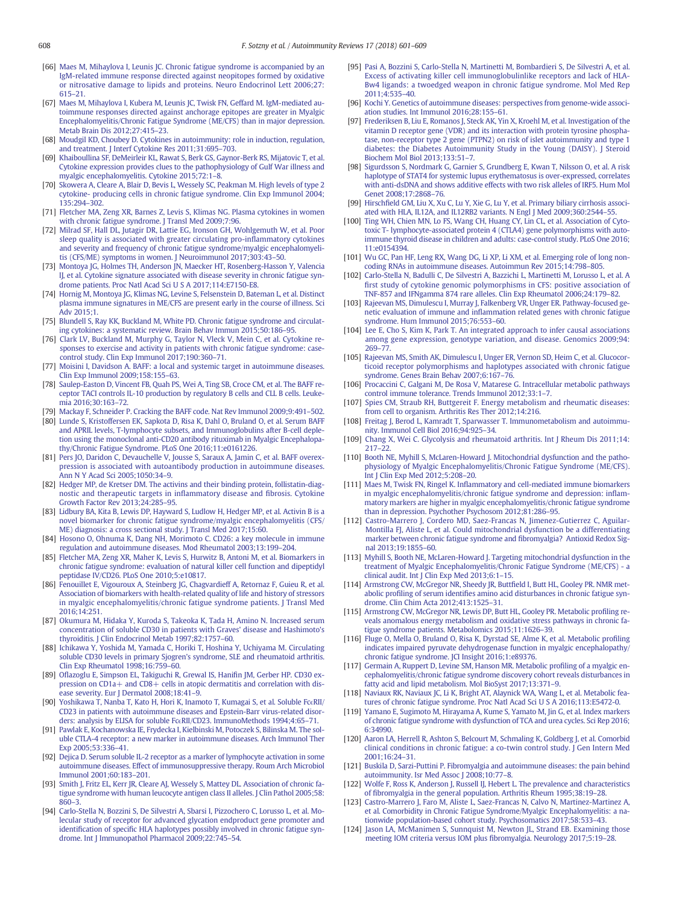- <span id="page-7-0"></span>[66] [Maes M, Mihaylova I, Leunis JC. Chronic fatigue syndrome is accompanied by an](http://refhub.elsevier.com/S1568-9972(18)30088-0/rf0330) [IgM-related immune response directed against neopitopes formed by oxidative](http://refhub.elsevier.com/S1568-9972(18)30088-0/rf0330) [or nitrosative damage to lipids and proteins. Neuro Endocrinol Lett 2006;27:](http://refhub.elsevier.com/S1568-9972(18)30088-0/rf0330) [615](http://refhub.elsevier.com/S1568-9972(18)30088-0/rf0330)–21.
- [67] [Maes M, Mihaylova I, Kubera M, Leunis JC, Twisk FN, Geffard M. IgM-mediated au](http://refhub.elsevier.com/S1568-9972(18)30088-0/rf0335)[toimmune responses directed against anchorage epitopes are greater in Myalgic](http://refhub.elsevier.com/S1568-9972(18)30088-0/rf0335) [Encephalomyelitis/Chronic Fatigue Syndrome \(ME/CFS\) than in major depression.](http://refhub.elsevier.com/S1568-9972(18)30088-0/rf0335) [Metab Brain Dis 2012;27:415](http://refhub.elsevier.com/S1568-9972(18)30088-0/rf0335)–23.
- [68] [Moudgil KD, Choubey D. Cytokines in autoimmunity: role in induction, regulation,](http://refhub.elsevier.com/S1568-9972(18)30088-0/rf0340) [and treatment. J Interf Cytokine Res 2011;31:695](http://refhub.elsevier.com/S1568-9972(18)30088-0/rf0340)–703.
- [69] [Khaiboullina SF, DeMeirleir KL, Rawat S, Berk GS, Gaynor-Berk RS, Mijatovic T, et al.](http://refhub.elsevier.com/S1568-9972(18)30088-0/rf0345) [Cytokine expression provides clues to the pathophysiology of Gulf War illness and](http://refhub.elsevier.com/S1568-9972(18)30088-0/rf0345) [myalgic encephalomyelitis. Cytokine 2015;72:1](http://refhub.elsevier.com/S1568-9972(18)30088-0/rf0345)–8.
- [70] [Skowera A, Cleare A, Blair D, Bevis L, Wessely SC, Peakman M. High levels of type 2](http://refhub.elsevier.com/S1568-9972(18)30088-0/rf0350) [cytokine- producing cells in chronic fatigue syndrome. Clin Exp Immunol 2004;](http://refhub.elsevier.com/S1568-9972(18)30088-0/rf0350)  $135.294 - 302$
- [71] [Fletcher MA, Zeng XR, Barnes Z, Levis S, Klimas NG. Plasma cytokines in women](http://refhub.elsevier.com/S1568-9972(18)30088-0/rf0355) with chronic fatigue syndrome. J Transl Med 2009:7:96.
- [72] [Milrad SF, Hall DL, Jutagir DR, Lattie EG, Ironson GH, Wohlgemuth W, et al. Poor](http://refhub.elsevier.com/S1568-9972(18)30088-0/rf0360) [sleep quality is associated with greater circulating pro-in](http://refhub.elsevier.com/S1568-9972(18)30088-0/rf0360)flammatory cytokines [and severity and frequency of chronic fatigue syndrome/myalgic encephalomyeli](http://refhub.elsevier.com/S1568-9972(18)30088-0/rf0360)[tis \(CFS/ME\) symptoms in women. J Neuroimmunol 2017;303:43](http://refhub.elsevier.com/S1568-9972(18)30088-0/rf0360)–50.
- [73] [Montoya JG, Holmes TH, Anderson JN, Maecker HT, Rosenberg-Hasson Y, Valencia](http://refhub.elsevier.com/S1568-9972(18)30088-0/rf0365) [IJ, et al. Cytokine signature associated with disease severity in chronic fatigue syn](http://refhub.elsevier.com/S1568-9972(18)30088-0/rf0365)[drome patients. Proc Natl Acad Sci U S A 2017;114:E7150-E8.](http://refhub.elsevier.com/S1568-9972(18)30088-0/rf0365)
- [74] [Hornig M, Montoya JG, Klimas NG, Levine S, Felsenstein D, Bateman L, et al. Distinct](http://refhub.elsevier.com/S1568-9972(18)30088-0/rf0370) [plasma immune signatures in ME/CFS are present early in the course of illness. Sci](http://refhub.elsevier.com/S1568-9972(18)30088-0/rf0370) [Adv 2015;1.](http://refhub.elsevier.com/S1568-9972(18)30088-0/rf0370)
- [75] [Blundell S, Ray KK, Buckland M, White PD. Chronic fatigue syndrome and circulat](http://refhub.elsevier.com/S1568-9972(18)30088-0/rf0375)[ing cytokines: a systematic review. Brain Behav Immun 2015;50:186](http://refhub.elsevier.com/S1568-9972(18)30088-0/rf0375)–95.
- [76] [Clark LV, Buckland M, Murphy G, Taylor N, Vleck V, Mein C, et al. Cytokine re](http://refhub.elsevier.com/S1568-9972(18)30088-0/rf0380)[sponses to exercise and activity in patients with chronic fatigue syndrome: case](http://refhub.elsevier.com/S1568-9972(18)30088-0/rf0380)[control study. Clin Exp Immunol 2017;190:360](http://refhub.elsevier.com/S1568-9972(18)30088-0/rf0380)–71.
- [77] [Moisini I, Davidson A. BAFF: a local and systemic target in autoimmune diseases.](http://refhub.elsevier.com/S1568-9972(18)30088-0/rf0385) [Clin Exp Immunol 2009;158:155](http://refhub.elsevier.com/S1568-9972(18)30088-0/rf0385)–63.
- [78] [Saulep-Easton D, Vincent FB, Quah PS, Wei A, Ting SB, Croce CM, et al. The BAFF re](http://refhub.elsevier.com/S1568-9972(18)30088-0/rf0390)[ceptor TACI controls IL-10 production by regulatory B cells and CLL B cells. Leuke](http://refhub.elsevier.com/S1568-9972(18)30088-0/rf0390)[mia 2016;30:163](http://refhub.elsevier.com/S1568-9972(18)30088-0/rf0390)–72.
- [79] [Mackay F, Schneider P. Cracking the BAFF code. Nat Rev Immunol 2009;9:491](http://refhub.elsevier.com/S1568-9972(18)30088-0/rf0395)–502.
- [80] [Lunde S, Kristoffersen EK, Sapkota D, Risa K, Dahl O, Bruland O, et al. Serum BAFF](http://refhub.elsevier.com/S1568-9972(18)30088-0/rf0400) [and APRIL levels, T-lymphocyte subsets, and Immunoglobulins after B-cell deple](http://refhub.elsevier.com/S1568-9972(18)30088-0/rf0400)[tion using the monoclonal anti-CD20 antibody rituximab in Myalgic Encephalopa](http://refhub.elsevier.com/S1568-9972(18)30088-0/rf0400)[thy/Chronic Fatigue Syndrome. PLoS One 2016;11:e0161226.](http://refhub.elsevier.com/S1568-9972(18)30088-0/rf0400)
- [81] [Pers JO, Daridon C, Devauchelle V, Jousse S, Saraux A, Jamin C, et al. BAFF overex](http://refhub.elsevier.com/S1568-9972(18)30088-0/rf0405)[pression is associated with autoantibody production in autoimmune diseases.](http://refhub.elsevier.com/S1568-9972(18)30088-0/rf0405) [Ann N Y Acad Sci 2005;1050:34](http://refhub.elsevier.com/S1568-9972(18)30088-0/rf0405)–9.
- [82] [Hedger MP, de Kretser DM. The activins and their binding protein, follistatin-diag](http://refhub.elsevier.com/S1568-9972(18)30088-0/rf0410)[nostic and therapeutic targets in in](http://refhub.elsevier.com/S1568-9972(18)30088-0/rf0410)flammatory disease and fibrosis. Cytokine [Growth Factor Rev 2013;24:285](http://refhub.elsevier.com/S1568-9972(18)30088-0/rf0410)–95.
- [83] [Lidbury BA, Kita B, Lewis DP, Hayward S, Ludlow H, Hedger MP, et al. Activin B is a](http://refhub.elsevier.com/S1568-9972(18)30088-0/rf0415) [novel biomarker for chronic fatigue syndrome/myalgic encephalomyelitis \(CFS/](http://refhub.elsevier.com/S1568-9972(18)30088-0/rf0415) [ME\) diagnosis: a cross sectional study. J Transl Med 2017;15:60.](http://refhub.elsevier.com/S1568-9972(18)30088-0/rf0415)
- [84] [Hosono O, Ohnuma K, Dang NH, Morimoto C. CD26: a key molecule in immune](http://refhub.elsevier.com/S1568-9972(18)30088-0/rf0420) [regulation and autoimmune diseases. Mod Rheumatol 2003;13:199](http://refhub.elsevier.com/S1568-9972(18)30088-0/rf0420)–204.
- [85] [Fletcher MA, Zeng XR, Maher K, Levis S, Hurwitz B, Antoni M, et al. Biomarkers in](http://refhub.elsevier.com/S1568-9972(18)30088-0/rf0425) [chronic fatigue syndrome: evaluation of natural killer cell function and dipeptidyl](http://refhub.elsevier.com/S1568-9972(18)30088-0/rf0425) [peptidase IV/CD26. PLoS One 2010;5:e10817.](http://refhub.elsevier.com/S1568-9972(18)30088-0/rf0425)
- [86] [Fenouillet E, Vigouroux A, Steinberg JG, Chagvardieff A, Retornaz F, Guieu R, et al.](http://refhub.elsevier.com/S1568-9972(18)30088-0/rf0430) [Association of biomarkers with health-related quality of life and history of stressors](http://refhub.elsevier.com/S1568-9972(18)30088-0/rf0430) [in myalgic encephalomyelitis/chronic fatigue syndrome patients. J Transl Med](http://refhub.elsevier.com/S1568-9972(18)30088-0/rf0430) [2016;14:251.](http://refhub.elsevier.com/S1568-9972(18)30088-0/rf0430)
- [87] [Okumura M, Hidaka Y, Kuroda S, Takeoka K, Tada H, Amino N. Increased serum](http://refhub.elsevier.com/S1568-9972(18)30088-0/rf0435) [concentration of soluble CD30 in patients with Graves' disease and Hashimoto's](http://refhub.elsevier.com/S1568-9972(18)30088-0/rf0435) [thyroiditis. J Clin Endocrinol Metab 1997;82:1757](http://refhub.elsevier.com/S1568-9972(18)30088-0/rf0435)–60.
- [88] [Ichikawa Y, Yoshida M, Yamada C, Horiki T, Hoshina Y, Uchiyama M. Circulating](http://refhub.elsevier.com/S1568-9972(18)30088-0/rf0440) [soluble CD30 levels in primary Sjogren's syndrome, SLE and rheumatoid arthritis.](http://refhub.elsevier.com/S1568-9972(18)30088-0/rf0440) [Clin Exp Rheumatol 1998;16:759](http://refhub.elsevier.com/S1568-9972(18)30088-0/rf0440)–60.
- [89] Ofl[azoglu E, Simpson EL, Takiguchi R, Grewal IS, Hani](http://refhub.elsevier.com/S1568-9972(18)30088-0/rf0445)fin JM, Gerber HP. CD30 ex[pression on CD1a+ and CD8+ cells in atopic dermatitis and correlation with dis](http://refhub.elsevier.com/S1568-9972(18)30088-0/rf0445).<br>[ease severity. Eur J Dermatol 2008;18:41](http://refhub.elsevier.com/S1568-9972(18)30088-0/rf0445)–9.
- [90] [Yoshikawa T, Nanba T, Kato H, Hori K, Inamoto T, Kumagai S, et al. Soluble Fc](http://refhub.elsevier.com/S1568-9972(18)30088-0/rf0450)ϵRII/ [CD23 in patients with autoimmune diseases and Epstein-Barr virus-related disor](http://refhub.elsevier.com/S1568-9972(18)30088-0/rf0450)ders: analysis by ELISA for soluble Fcϵ[RII/CD23. ImmunoMethods 1994;4:65](http://refhub.elsevier.com/S1568-9972(18)30088-0/rf0450)–71.
- [91] [Pawlak E, Kochanowska IE, Frydecka I, Kielbinski M, Potoczek S, Bilinska M. The sol](http://refhub.elsevier.com/S1568-9972(18)30088-0/rf0455)[uble CTLA-4 receptor: a new marker in autoimmune diseases. Arch Immunol Ther](http://refhub.elsevier.com/S1568-9972(18)30088-0/rf0455) [Exp 2005;53:336](http://refhub.elsevier.com/S1568-9972(18)30088-0/rf0455)–41.
- [92] [Dejica D. Serum soluble IL-2 receptor as a marker of lymphocyte activation in some](http://refhub.elsevier.com/S1568-9972(18)30088-0/rf0460) [autoimmune diseases. Effect of immunosuppressive therapy. Roum Arch Microbiol](http://refhub.elsevier.com/S1568-9972(18)30088-0/rf0460) [Immunol 2001;60:183](http://refhub.elsevier.com/S1568-9972(18)30088-0/rf0460)–201.
- [93] [Smith J, Fritz EL, Kerr JR, Cleare AJ, Wessely S, Mattey DL. Association of chronic fa](http://refhub.elsevier.com/S1568-9972(18)30088-0/rf0465)[tigue syndrome with human leucocyte antigen class II alleles. J Clin Pathol 2005;58:](http://refhub.elsevier.com/S1568-9972(18)30088-0/rf0465) [860](http://refhub.elsevier.com/S1568-9972(18)30088-0/rf0465)–3.
- [94] [Carlo-Stella N, Bozzini S, De Silvestri A, Sbarsi I, Pizzochero C, Lorusso L, et al. Mo](http://refhub.elsevier.com/S1568-9972(18)30088-0/rf0470)[lecular study of receptor for advanced glycation endproduct gene promoter and](http://refhub.elsevier.com/S1568-9972(18)30088-0/rf0470) identification of specifi[c HLA haplotypes possibly involved in chronic fatigue syn](http://refhub.elsevier.com/S1568-9972(18)30088-0/rf0470)[drome. Int J Immunopathol Pharmacol 2009;22:745](http://refhub.elsevier.com/S1568-9972(18)30088-0/rf0470)–54.
- [95] [Pasi A, Bozzini S, Carlo-Stella N, Martinetti M, Bombardieri S, De Silvestri A, et al.](http://refhub.elsevier.com/S1568-9972(18)30088-0/rf0475) [Excess of activating killer cell immunoglobulinlike receptors and lack of HLA-](http://refhub.elsevier.com/S1568-9972(18)30088-0/rf0475)[Bw4 ligands: a twoedged weapon in chronic fatigue syndrome. Mol Med Rep](http://refhub.elsevier.com/S1568-9972(18)30088-0/rf0475) [2011;4:535](http://refhub.elsevier.com/S1568-9972(18)30088-0/rf0475)–40.
- [96] [Kochi Y. Genetics of autoimmune diseases: perspectives from genome-wide associ](http://refhub.elsevier.com/S1568-9972(18)30088-0/rf0480)[ation studies. Int Immunol 2016;28:155](http://refhub.elsevier.com/S1568-9972(18)30088-0/rf0480)–61.
- [97] [Frederiksen B, Liu E, Romanos J, Steck AK, Yin X, Kroehl M, et al. Investigation of the](http://refhub.elsevier.com/S1568-9972(18)30088-0/rf0485) [vitamin D receptor gene \(VDR\) and its interaction with protein tyrosine phospha](http://refhub.elsevier.com/S1568-9972(18)30088-0/rf0485)[tase, non-receptor type 2 gene \(PTPN2\) on risk of islet autoimmunity and type 1](http://refhub.elsevier.com/S1568-9972(18)30088-0/rf0485) [diabetes: the Diabetes Autoimmunity Study in the Young \(DAISY\). J Steroid](http://refhub.elsevier.com/S1568-9972(18)30088-0/rf0485) [Biochem Mol Biol 2013;133:51](http://refhub.elsevier.com/S1568-9972(18)30088-0/rf0485)–7.
- [98] [Sigurdsson S, Nordmark G, Garnier S, Grundberg E, Kwan T, Nilsson O, et al. A risk](http://refhub.elsevier.com/S1568-9972(18)30088-0/rf0490) [haplotype of STAT4 for systemic lupus erythematosus is over-expressed, correlates](http://refhub.elsevier.com/S1568-9972(18)30088-0/rf0490) [with anti-dsDNA and shows additive effects with two risk alleles of IRF5. Hum Mol](http://refhub.elsevier.com/S1568-9972(18)30088-0/rf0490) [Genet 2008;17:2868](http://refhub.elsevier.com/S1568-9972(18)30088-0/rf0490)–76.
- [99] Hirschfi[eld GM, Liu X, Xu C, Lu Y, Xie G, Lu Y, et al. Primary biliary cirrhosis associ](http://refhub.elsevier.com/S1568-9972(18)30088-0/rf0495)[ated with HLA, IL12A, and IL12RB2 variants. N Engl J Med 2009;360:2544](http://refhub.elsevier.com/S1568-9972(18)30088-0/rf0495)–55.
- [100] [Ting WH, Chien MN, Lo FS, Wang CH, Huang CY, Lin CL, et al. Association of Cyto](http://refhub.elsevier.com/S1568-9972(18)30088-0/rf0500)[toxic T- lymphocyte-associated protein 4 \(CTLA4\) gene polymorphisms with auto](http://refhub.elsevier.com/S1568-9972(18)30088-0/rf0500)[immune thyroid disease in children and adults: case-control study. PLoS One 2016;](http://refhub.elsevier.com/S1568-9972(18)30088-0/rf0500) [11:e0154394.](http://refhub.elsevier.com/S1568-9972(18)30088-0/rf0500)
- [101] [Wu GC, Pan HF, Leng RX, Wang DG, Li XP, Li XM, et al. Emerging role of long non](http://refhub.elsevier.com/S1568-9972(18)30088-0/rf0505)[coding RNAs in autoimmune diseases. Autoimmun Rev 2015;14:798](http://refhub.elsevier.com/S1568-9972(18)30088-0/rf0505)–805.
- [102] [Carlo-Stella N, Badulli C, De Silvestri A, Bazzichi L, Martinetti M, Lorusso L, et al. A](http://refhub.elsevier.com/S1568-9972(18)30088-0/rf0510) fi[rst study of cytokine genomic polymorphisms in CFS: positive association of](http://refhub.elsevier.com/S1568-9972(18)30088-0/rf0510) [TNF-857 and IFNgamma 874 rare alleles. Clin Exp Rheumatol 2006;24:179](http://refhub.elsevier.com/S1568-9972(18)30088-0/rf0510)–82.
- [103] [Rajeevan MS, Dimulescu I, Murray J, Falkenberg VR, Unger ER. Pathway-focused ge](http://refhub.elsevier.com/S1568-9972(18)30088-0/rf0515)netic evaluation of immune and infl[ammation related genes with chronic fatigue](http://refhub.elsevier.com/S1568-9972(18)30088-0/rf0515) [syndrome. Hum Immunol 2015;76:553](http://refhub.elsevier.com/S1568-9972(18)30088-0/rf0515)–60.
- [104] [Lee E, Cho S, Kim K, Park T. An integrated approach to infer causal associations](http://refhub.elsevier.com/S1568-9972(18)30088-0/rf0520) [among gene expression, genotype variation, and disease. Genomics 2009;94:](http://refhub.elsevier.com/S1568-9972(18)30088-0/rf0520) [269](http://refhub.elsevier.com/S1568-9972(18)30088-0/rf0520)–77.
- [105] [Rajeevan MS, Smith AK, Dimulescu I, Unger ER, Vernon SD, Heim C, et al. Glucocor](http://refhub.elsevier.com/S1568-9972(18)30088-0/rf0525)[ticoid receptor polymorphisms and haplotypes associated with chronic fatigue](http://refhub.elsevier.com/S1568-9972(18)30088-0/rf0525) [syndrome. Genes Brain Behav 2007;6:167](http://refhub.elsevier.com/S1568-9972(18)30088-0/rf0525)–76.
- [106] [Procaccini C, Galgani M, De Rosa V, Matarese G. Intracellular metabolic pathways](http://refhub.elsevier.com/S1568-9972(18)30088-0/rf0530) [control immune tolerance. Trends Immunol 2012;33:1](http://refhub.elsevier.com/S1568-9972(18)30088-0/rf0530)–7.
- [107] [Spies CM, Straub RH, Buttgereit F. Energy metabolism and rheumatic diseases:](http://refhub.elsevier.com/S1568-9972(18)30088-0/rf0535) [from cell to organism. Arthritis Res Ther 2012;14:216.](http://refhub.elsevier.com/S1568-9972(18)30088-0/rf0535)
- [108] [Freitag J, Berod L, Kamradt T, Sparwasser T. Immunometabolism and autoimmu](http://refhub.elsevier.com/S1568-9972(18)30088-0/rf0540)[nity. Immunol Cell Biol 2016;94:925](http://refhub.elsevier.com/S1568-9972(18)30088-0/rf0540)–34.
- [109] [Chang X, Wei C. Glycolysis and rheumatoid arthritis. Int J Rheum Dis 2011;14:](http://refhub.elsevier.com/S1568-9972(18)30088-0/rf0545) [217](http://refhub.elsevier.com/S1568-9972(18)30088-0/rf0545)–22.
- [110] [Booth NE, Myhill S, McLaren-Howard J. Mitochondrial dysfunction and the patho](http://refhub.elsevier.com/S1568-9972(18)30088-0/rf0550)[physiology of Myalgic Encephalomyelitis/Chronic Fatigue Syndrome \(ME/CFS\).](http://refhub.elsevier.com/S1568-9972(18)30088-0/rf0550) [Int J Clin Exp Med 2012;5:208](http://refhub.elsevier.com/S1568-9972(18)30088-0/rf0550)–20.
- [111] Maes M, Twisk FN, Ringel K. Infl[ammatory and cell-mediated immune biomarkers](http://refhub.elsevier.com/S1568-9972(18)30088-0/rf0555) [in myalgic encephalomyelitis/chronic fatigue syndrome and depression: in](http://refhub.elsevier.com/S1568-9972(18)30088-0/rf0555)flam[matory markers are higher in myalgic encephalomyelitis/chronic fatigue syndrome](http://refhub.elsevier.com/S1568-9972(18)30088-0/rf0555) [than in depression. Psychother Psychosom 2012;81:286](http://refhub.elsevier.com/S1568-9972(18)30088-0/rf0555)–95.
- [112] [Castro-Marrero J, Cordero MD, Saez-Francas N, Jimenez-Gutierrez C, Aguilar-](http://refhub.elsevier.com/S1568-9972(18)30088-0/rf0560)[Montilla FJ, Aliste L, et al. Could mitochondrial dysfunction be a differentiating](http://refhub.elsevier.com/S1568-9972(18)30088-0/rf0560) [marker between chronic fatigue syndrome and](http://refhub.elsevier.com/S1568-9972(18)30088-0/rf0560) fibromyalgia? Antioxid Redox Sig[nal 2013;19:1855](http://refhub.elsevier.com/S1568-9972(18)30088-0/rf0560)–60.
- [113] [Myhill S, Booth NE, McLaren-Howard J. Targeting mitochondrial dysfunction in the](http://refhub.elsevier.com/S1568-9972(18)30088-0/rf0565) [treatment of Myalgic Encephalomyelitis/Chronic Fatigue Syndrome \(ME/CFS\) - a](http://refhub.elsevier.com/S1568-9972(18)30088-0/rf0565) [clinical audit. Int J Clin Exp Med 2013;6:1](http://refhub.elsevier.com/S1568-9972(18)30088-0/rf0565)–15.
- [114] [Armstrong CW, McGregor NR, Sheedy JR, Butt](http://refhub.elsevier.com/S1568-9972(18)30088-0/rf0570)field I, Butt HL, Gooley PR. NMR metabolic profiling of serum identifi[es amino acid disturbances in chronic fatigue syn](http://refhub.elsevier.com/S1568-9972(18)30088-0/rf0570)[drome. Clin Chim Acta 2012;413:1525](http://refhub.elsevier.com/S1568-9972(18)30088-0/rf0570)–31.
- [115] [Armstrong CW, McGregor NR, Lewis DP, Butt HL, Gooley PR. Metabolic pro](http://refhub.elsevier.com/S1568-9972(18)30088-0/rf0575)filing re[veals anomalous energy metabolism and oxidative stress pathways in chronic fa](http://refhub.elsevier.com/S1568-9972(18)30088-0/rf0575)[tigue syndrome patients. Metabolomics 2015;11:1626](http://refhub.elsevier.com/S1568-9972(18)30088-0/rf0575)–39.
- [116] [Fluge O, Mella O, Bruland O, Risa K, Dyrstad SE, Alme K, et al. Metabolic pro](http://refhub.elsevier.com/S1568-9972(18)30088-0/rf0580)filing [indicates impaired pyruvate dehydrogenase function in myalgic encephalopathy/](http://refhub.elsevier.com/S1568-9972(18)30088-0/rf0580) [chronic fatigue syndrome. JCI Insight 2016;1:e89376.](http://refhub.elsevier.com/S1568-9972(18)30088-0/rf0580)
- [117] [Germain A, Ruppert D, Levine SM, Hanson MR. Metabolic pro](http://refhub.elsevier.com/S1568-9972(18)30088-0/rf0585)filing of a myalgic en[cephalomyelitis/chronic fatigue syndrome discovery cohort reveals disturbances in](http://refhub.elsevier.com/S1568-9972(18)30088-0/rf0585) [fatty acid and lipid metabolism. Mol BioSyst 2017;13:371](http://refhub.elsevier.com/S1568-9972(18)30088-0/rf0585)–9.
- [118] [Naviaux RK, Naviaux JC, Li K, Bright AT, Alaynick WA, Wang L, et al. Metabolic fea](http://refhub.elsevier.com/S1568-9972(18)30088-0/rf0590)[tures of chronic fatigue syndrome. Proc Natl Acad Sci U S A 2016;113:E5472-0.](http://refhub.elsevier.com/S1568-9972(18)30088-0/rf0590)
- [119] [Yamano E, Sugimoto M, Hirayama A, Kume S, Yamato M, Jin G, et al. Index markers](http://refhub.elsevier.com/S1568-9972(18)30088-0/rf0595) [of chronic fatigue syndrome with dysfunction of TCA and urea cycles. Sci Rep 2016;](http://refhub.elsevier.com/S1568-9972(18)30088-0/rf0595) [6:34990.](http://refhub.elsevier.com/S1568-9972(18)30088-0/rf0595)
- [120] [Aaron LA, Herrell R, Ashton S, Belcourt M, Schmaling K, Goldberg J, et al. Comorbid](http://refhub.elsevier.com/S1568-9972(18)30088-0/rf0600) [clinical conditions in chronic fatigue: a co-twin control study. J Gen Intern Med](http://refhub.elsevier.com/S1568-9972(18)30088-0/rf0600) [2001;16:24](http://refhub.elsevier.com/S1568-9972(18)30088-0/rf0600)–31.
- [121] [Buskila D, Sarzi-Puttini P. Fibromyalgia and autoimmune diseases: the pain behind](http://refhub.elsevier.com/S1568-9972(18)30088-0/rf0605) [autoimmunity. Isr Med Assoc J 2008;10:77](http://refhub.elsevier.com/S1568-9972(18)30088-0/rf0605)–8.
- [122] [Wolfe F, Ross K, Anderson J, Russell IJ, Hebert L. The prevalence and characteristics](http://refhub.elsevier.com/S1568-9972(18)30088-0/rf0610) of fi[bromyalgia in the general population. Arthritis Rheum 1995;38:19](http://refhub.elsevier.com/S1568-9972(18)30088-0/rf0610)–28.
- [123] [Castro-Marrero J, Faro M, Aliste L, Saez-Francas N, Calvo N, Martinez-Martinez A,](http://refhub.elsevier.com/S1568-9972(18)30088-0/rf0615) [et al. Comorbidity in Chronic Fatigue Syndrome/Myalgic Encephalomyelitis: a na](http://refhub.elsevier.com/S1568-9972(18)30088-0/rf0615)[tionwide population-based cohort study. Psychosomatics 2017;58:533](http://refhub.elsevier.com/S1568-9972(18)30088-0/rf0615)–43. [124] [Jason LA, McManimen S, Sunnquist M, Newton JL, Strand EB. Examining those](http://refhub.elsevier.com/S1568-9972(18)30088-0/rf0620)
- [meeting IOM criteria versus IOM plus](http://refhub.elsevier.com/S1568-9972(18)30088-0/rf0620) fibromyalgia. Neurology 2017;5:19–28.